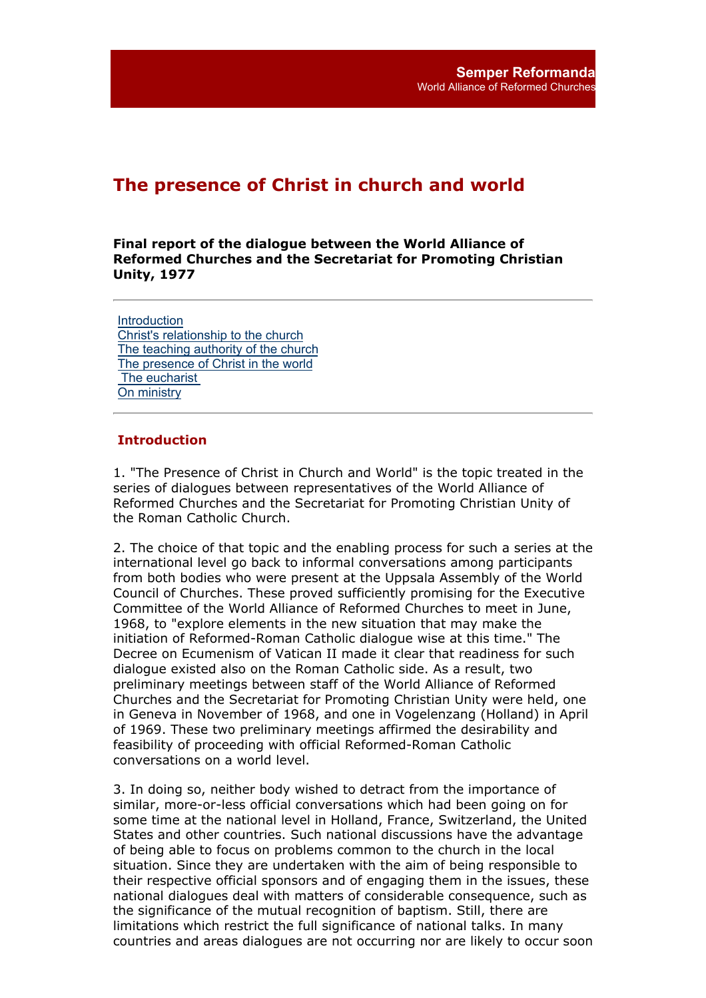# **The presence of Christ in church and world**

**Final report of the dialogue between the World Alliance of Reformed Churches and the Secretariat for Promoting Christian Unity, 1977**

Introduction Christ's relationship to the church The teaching authority of the church The presence of Christ in the world The eucharist On ministry

## **Introduction**

1. "The Presence of Christ in Church and World" is the topic treated in the series of dialogues between representatives of the World Alliance of Reformed Churches and the Secretariat for Promoting Christian Unity of the Roman Catholic Church.

2. The choice of that topic and the enabling process for such a series at the international level go back to informal conversations among participants from both bodies who were present at the Uppsala Assembly of the World Council of Churches. These proved sufficiently promising for the Executive Committee of the World Alliance of Reformed Churches to meet in June, 1968, to "explore elements in the new situation that may make the initiation of Reformed-Roman Catholic dialogue wise at this time." The Decree on Ecumenism of Vatican II made it clear that readiness for such dialogue existed also on the Roman Catholic side. As a result, two preliminary meetings between staff of the World Alliance of Reformed Churches and the Secretariat for Promoting Christian Unity were held, one in Geneva in November of 1968, and one in Vogelenzang (Holland) in April of 1969. These two preliminary meetings affirmed the desirability and feasibility of proceeding with official Reformed-Roman Catholic conversations on a world level.

3. In doing so, neither body wished to detract from the importance of similar, more-or-less official conversations which had been going on for some time at the national level in Holland, France, Switzerland, the United States and other countries. Such national discussions have the advantage of being able to focus on problems common to the church in the local situation. Since they are undertaken with the aim of being responsible to their respective official sponsors and of engaging them in the issues, these national dialogues deal with matters of considerable consequence, such as the significance of the mutual recognition of baptism. Still, there are limitations which restrict the full significance of national talks. In many countries and areas dialogues are not occurring nor are likely to occur soon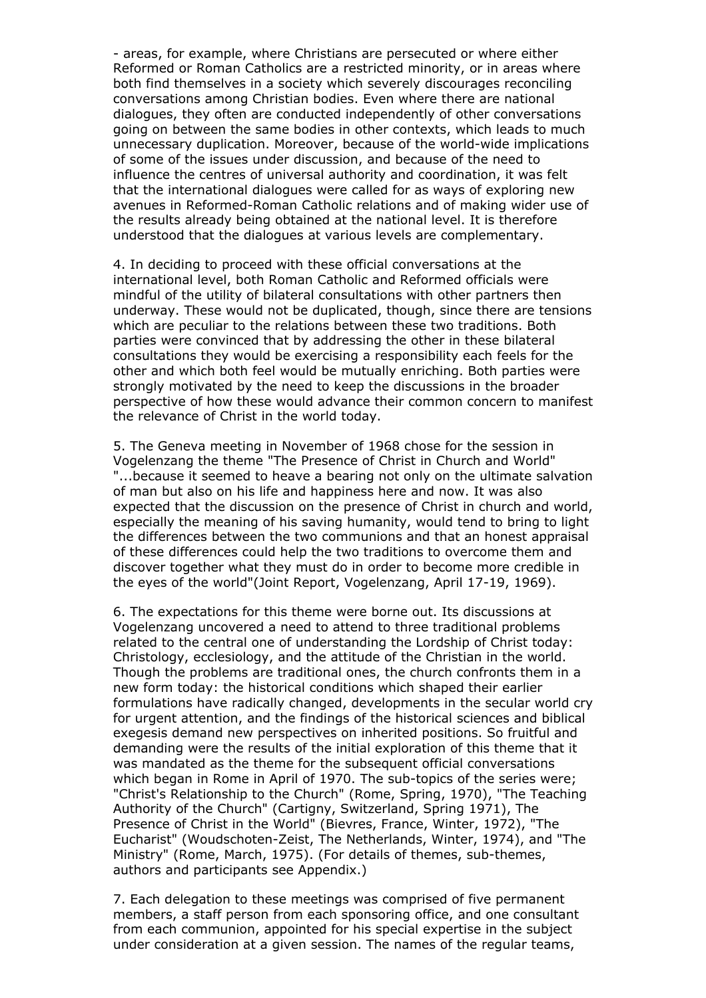- areas, for example, where Christians are persecuted or where either Reformed or Roman Catholics are a restricted minority, or in areas where both find themselves in a society which severely discourages reconciling conversations among Christian bodies. Even where there are national dialogues, they often are conducted independently of other conversations going on between the same bodies in other contexts, which leads to much unnecessary duplication. Moreover, because of the world-wide implications of some of the issues under discussion, and because of the need to influence the centres of universal authority and coordination, it was felt that the international dialogues were called for as ways of exploring new avenues in Reformed-Roman Catholic relations and of making wider use of the results already being obtained at the national level. It is therefore understood that the dialogues at various levels are complementary.

4. In deciding to proceed with these official conversations at the international level, both Roman Catholic and Reformed officials were mindful of the utility of bilateral consultations with other partners then underway. These would not be duplicated, though, since there are tensions which are peculiar to the relations between these two traditions. Both parties were convinced that by addressing the other in these bilateral consultations they would be exercising a responsibility each feels for the other and which both feel would be mutually enriching. Both parties were strongly motivated by the need to keep the discussions in the broader perspective of how these would advance their common concern to manifest the relevance of Christ in the world today.

5. The Geneva meeting in November of 1968 chose for the session in Vogelenzang the theme "The Presence of Christ in Church and World" "...because it seemed to heave a bearing not only on the ultimate salvation of man but also on his life and happiness here and now. It was also expected that the discussion on the presence of Christ in church and world, especially the meaning of his saving humanity, would tend to bring to light the differences between the two communions and that an honest appraisal of these differences could help the two traditions to overcome them and discover together what they must do in order to become more credible in the eyes of the world"(Joint Report, Vogelenzang, April 17-19, 1969).

6. The expectations for this theme were borne out. Its discussions at Vogelenzang uncovered a need to attend to three traditional problems related to the central one of understanding the Lordship of Christ today: Christology, ecclesiology, and the attitude of the Christian in the world. Though the problems are traditional ones, the church confronts them in a new form today: the historical conditions which shaped their earlier formulations have radically changed, developments in the secular world cry for urgent attention, and the findings of the historical sciences and biblical exegesis demand new perspectives on inherited positions. So fruitful and demanding were the results of the initial exploration of this theme that it was mandated as the theme for the subsequent official conversations which began in Rome in April of 1970. The sub-topics of the series were; "Christ's Relationship to the Church" (Rome, Spring, 1970), "The Teaching Authority of the Church" (Cartigny, Switzerland, Spring 1971), The Presence of Christ in the World" (Bievres, France, Winter, 1972), "The Eucharist" (Woudschoten-Zeist, The Netherlands, Winter, 1974), and "The Ministry" (Rome, March, 1975). (For details of themes, sub-themes, authors and participants see Appendix.)

7. Each delegation to these meetings was comprised of five permanent members, a staff person from each sponsoring office, and one consultant from each communion, appointed for his special expertise in the subject under consideration at a given session. The names of the regular teams,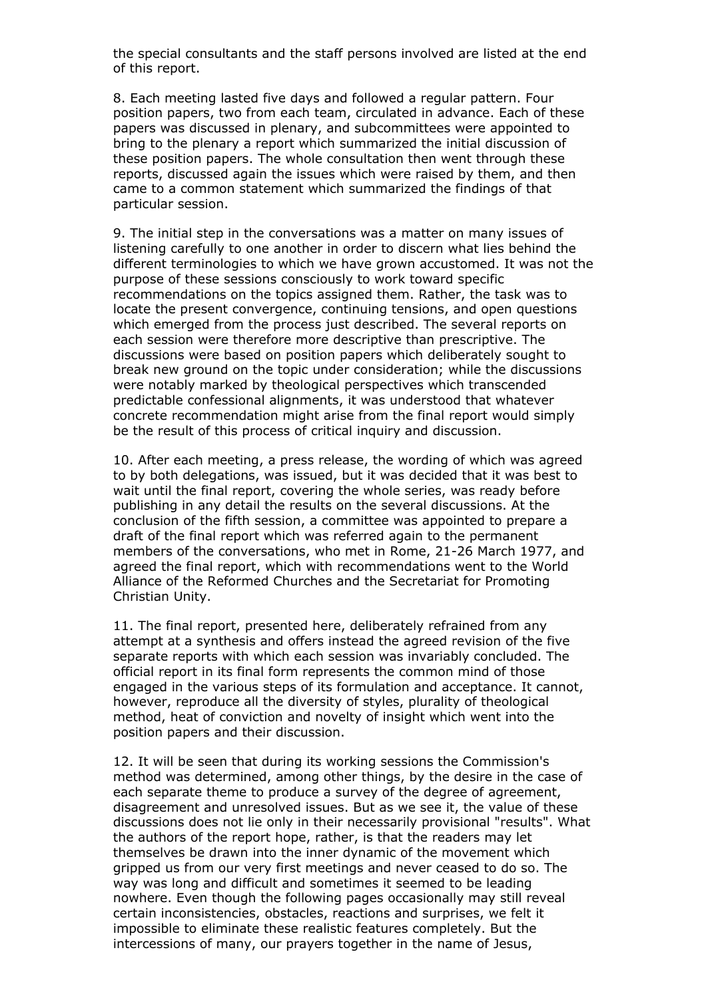the special consultants and the staff persons involved are listed at the end of this report.

8. Each meeting lasted five days and followed a regular pattern. Four position papers, two from each team, circulated in advance. Each of these papers was discussed in plenary, and subcommittees were appointed to bring to the plenary a report which summarized the initial discussion of these position papers. The whole consultation then went through these reports, discussed again the issues which were raised by them, and then came to a common statement which summarized the findings of that particular session.

9. The initial step in the conversations was a matter on many issues of listening carefully to one another in order to discern what lies behind the different terminologies to which we have grown accustomed. It was not the purpose of these sessions consciously to work toward specific recommendations on the topics assigned them. Rather, the task was to locate the present convergence, continuing tensions, and open questions which emerged from the process just described. The several reports on each session were therefore more descriptive than prescriptive. The discussions were based on position papers which deliberately sought to break new ground on the topic under consideration; while the discussions were notably marked by theological perspectives which transcended predictable confessional alignments, it was understood that whatever concrete recommendation might arise from the final report would simply be the result of this process of critical inquiry and discussion.

10. After each meeting, a press release, the wording of which was agreed to by both delegations, was issued, but it was decided that it was best to wait until the final report, covering the whole series, was ready before publishing in any detail the results on the several discussions. At the conclusion of the fifth session, a committee was appointed to prepare a draft of the final report which was referred again to the permanent members of the conversations, who met in Rome, 21-26 March 1977, and agreed the final report, which with recommendations went to the World Alliance of the Reformed Churches and the Secretariat for Promoting Christian Unity.

11. The final report, presented here, deliberately refrained from any attempt at a synthesis and offers instead the agreed revision of the five separate reports with which each session was invariably concluded. The official report in its final form represents the common mind of those engaged in the various steps of its formulation and acceptance. It cannot, however, reproduce all the diversity of styles, plurality of theological method, heat of conviction and novelty of insight which went into the position papers and their discussion.

12. It will be seen that during its working sessions the Commission's method was determined, among other things, by the desire in the case of each separate theme to produce a survey of the degree of agreement, disagreement and unresolved issues. But as we see it, the value of these discussions does not lie only in their necessarily provisional "results". What the authors of the report hope, rather, is that the readers may let themselves be drawn into the inner dynamic of the movement which gripped us from our very first meetings and never ceased to do so. The way was long and difficult and sometimes it seemed to be leading nowhere. Even though the following pages occasionally may still reveal certain inconsistencies, obstacles, reactions and surprises, we felt it impossible to eliminate these realistic features completely. But the intercessions of many, our prayers together in the name of Jesus,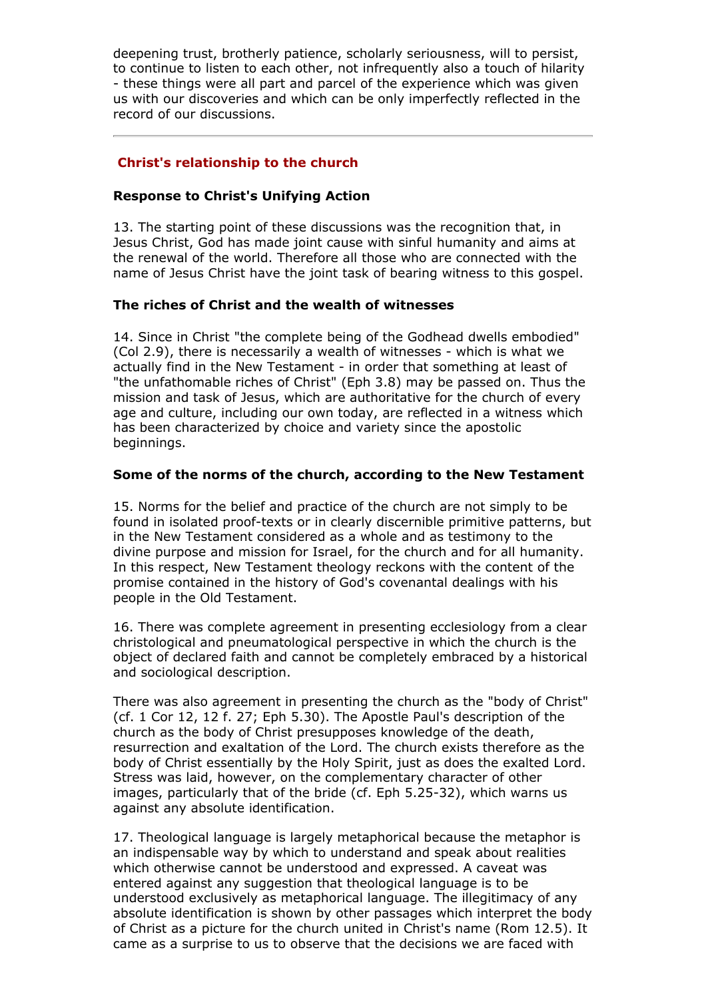deepening trust, brotherly patience, scholarly seriousness, will to persist, to continue to listen to each other, not infrequently also a touch of hilarity - these things were all part and parcel of the experience which was given us with our discoveries and which can be only imperfectly reflected in the record of our discussions.

## **Christ's relationship to the church**

## **Response to Christ's Unifying Action**

13. The starting point of these discussions was the recognition that, in Jesus Christ, God has made joint cause with sinful humanity and aims at the renewal of the world. Therefore all those who are connected with the name of Jesus Christ have the joint task of bearing witness to this gospel.

## **The riches of Christ and the wealth of witnesses**

14. Since in Christ "the complete being of the Godhead dwells embodied" (Col 2.9), there is necessarily a wealth of witnesses - which is what we actually find in the New Testament - in order that something at least of "the unfathomable riches of Christ" (Eph 3.8) may be passed on. Thus the mission and task of Jesus, which are authoritative for the church of every age and culture, including our own today, are reflected in a witness which has been characterized by choice and variety since the apostolic beginnings.

## **Some of the norms of the church, according to the New Testament**

15. Norms for the belief and practice of the church are not simply to be found in isolated proof-texts or in clearly discernible primitive patterns, but in the New Testament considered as a whole and as testimony to the divine purpose and mission for Israel, for the church and for all humanity. In this respect, New Testament theology reckons with the content of the promise contained in the history of God's covenantal dealings with his people in the Old Testament.

16. There was complete agreement in presenting ecclesiology from a clear christological and pneumatological perspective in which the church is the object of declared faith and cannot be completely embraced by a historical and sociological description.

There was also agreement in presenting the church as the "body of Christ" (cf. 1 Cor 12, 12 f. 27; Eph 5.30). The Apostle Paul's description of the church as the body of Christ presupposes knowledge of the death, resurrection and exaltation of the Lord. The church exists therefore as the body of Christ essentially by the Holy Spirit, just as does the exalted Lord. Stress was laid, however, on the complementary character of other images, particularly that of the bride (cf. Eph 5.25-32), which warns us against any absolute identification.

17. Theological language is largely metaphorical because the metaphor is an indispensable way by which to understand and speak about realities which otherwise cannot be understood and expressed. A caveat was entered against any suggestion that theological language is to be understood exclusively as metaphorical language. The illegitimacy of any absolute identification is shown by other passages which interpret the body of Christ as a picture for the church united in Christ's name (Rom 12.5). It came as a surprise to us to observe that the decisions we are faced with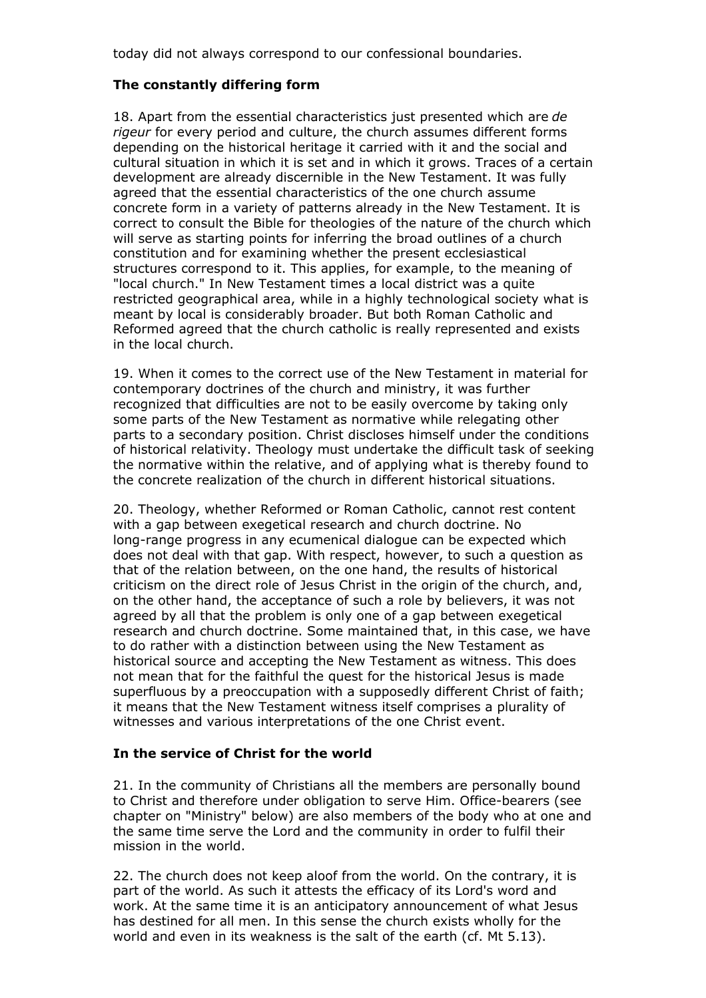today did not always correspond to our confessional boundaries.

## **The constantly differing form**

18. Apart from the essential characteristics just presented which are *de rigeur* for every period and culture, the church assumes different forms depending on the historical heritage it carried with it and the social and cultural situation in which it is set and in which it grows. Traces of a certain development are already discernible in the New Testament. It was fully agreed that the essential characteristics of the one church assume concrete form in a variety of patterns already in the New Testament. It is correct to consult the Bible for theologies of the nature of the church which will serve as starting points for inferring the broad outlines of a church constitution and for examining whether the present ecclesiastical structures correspond to it. This applies, for example, to the meaning of "local church." In New Testament times a local district was a quite restricted geographical area, while in a highly technological society what is meant by local is considerably broader. But both Roman Catholic and Reformed agreed that the church catholic is really represented and exists in the local church.

19. When it comes to the correct use of the New Testament in material for contemporary doctrines of the church and ministry, it was further recognized that difficulties are not to be easily overcome by taking only some parts of the New Testament as normative while relegating other parts to a secondary position. Christ discloses himself under the conditions of historical relativity. Theology must undertake the difficult task of seeking the normative within the relative, and of applying what is thereby found to the concrete realization of the church in different historical situations.

20. Theology, whether Reformed or Roman Catholic, cannot rest content with a gap between exegetical research and church doctrine. No long-range progress in any ecumenical dialogue can be expected which does not deal with that gap. With respect, however, to such a question as that of the relation between, on the one hand, the results of historical criticism on the direct role of Jesus Christ in the origin of the church, and, on the other hand, the acceptance of such a role by believers, it was not agreed by all that the problem is only one of a gap between exegetical research and church doctrine. Some maintained that, in this case, we have to do rather with a distinction between using the New Testament as historical source and accepting the New Testament as witness. This does not mean that for the faithful the quest for the historical Jesus is made superfluous by a preoccupation with a supposedly different Christ of faith; it means that the New Testament witness itself comprises a plurality of witnesses and various interpretations of the one Christ event.

#### **In the service of Christ for the world**

21. In the community of Christians all the members are personally bound to Christ and therefore under obligation to serve Him. Office-bearers (see chapter on "Ministry" below) are also members of the body who at one and the same time serve the Lord and the community in order to fulfil their mission in the world.

22. The church does not keep aloof from the world. On the contrary, it is part of the world. As such it attests the efficacy of its Lord's word and work. At the same time it is an anticipatory announcement of what Jesus has destined for all men. In this sense the church exists wholly for the world and even in its weakness is the salt of the earth (cf. Mt 5.13).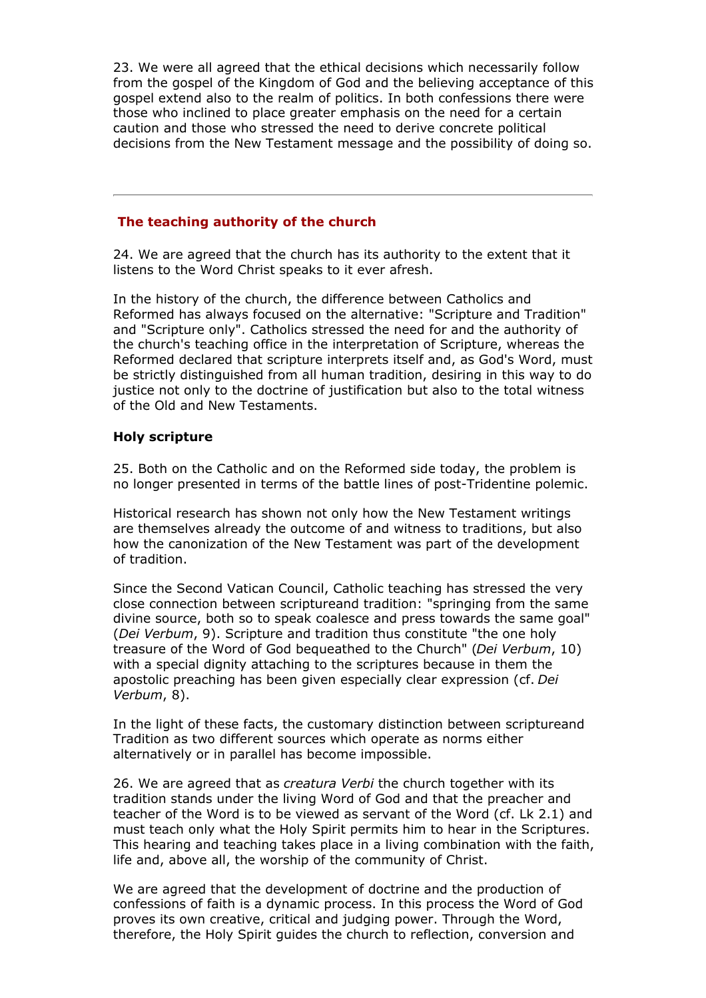23. We were all agreed that the ethical decisions which necessarily follow from the gospel of the Kingdom of God and the believing acceptance of this gospel extend also to the realm of politics. In both confessions there were those who inclined to place greater emphasis on the need for a certain caution and those who stressed the need to derive concrete political decisions from the New Testament message and the possibility of doing so.

## **The teaching authority of the church**

24. We are agreed that the church has its authority to the extent that it listens to the Word Christ speaks to it ever afresh.

In the history of the church, the difference between Catholics and Reformed has always focused on the alternative: "Scripture and Tradition" and "Scripture only". Catholics stressed the need for and the authority of the church's teaching office in the interpretation of Scripture, whereas the Reformed declared that scripture interprets itself and, as God's Word, must be strictly distinguished from all human tradition, desiring in this way to do justice not only to the doctrine of justification but also to the total witness of the Old and New Testaments.

## **Holy scripture**

25. Both on the Catholic and on the Reformed side today, the problem is no longer presented in terms of the battle lines of post-Tridentine polemic.

Historical research has shown not only how the New Testament writings are themselves already the outcome of and witness to traditions, but also how the canonization of the New Testament was part of the development of tradition.

Since the Second Vatican Council, Catholic teaching has stressed the very close connection between scriptureand tradition: "springing from the same divine source, both so to speak coalesce and press towards the same goal" (*Dei Verbum*, 9). Scripture and tradition thus constitute "the one holy treasure of the Word of God bequeathed to the Church" (*Dei Verbum*, 10) with a special dignity attaching to the scriptures because in them the apostolic preaching has been given especially clear expression (cf. *Dei Verbum*, 8).

In the light of these facts, the customary distinction between scriptureand Tradition as two different sources which operate as norms either alternatively or in parallel has become impossible.

26. We are agreed that as *creatura Verbi* the church together with its tradition stands under the living Word of God and that the preacher and teacher of the Word is to be viewed as servant of the Word (cf. Lk 2.1) and must teach only what the Holy Spirit permits him to hear in the Scriptures. This hearing and teaching takes place in a living combination with the faith, life and, above all, the worship of the community of Christ.

We are agreed that the development of doctrine and the production of confessions of faith is a dynamic process. In this process the Word of God proves its own creative, critical and judging power. Through the Word, therefore, the Holy Spirit guides the church to reflection, conversion and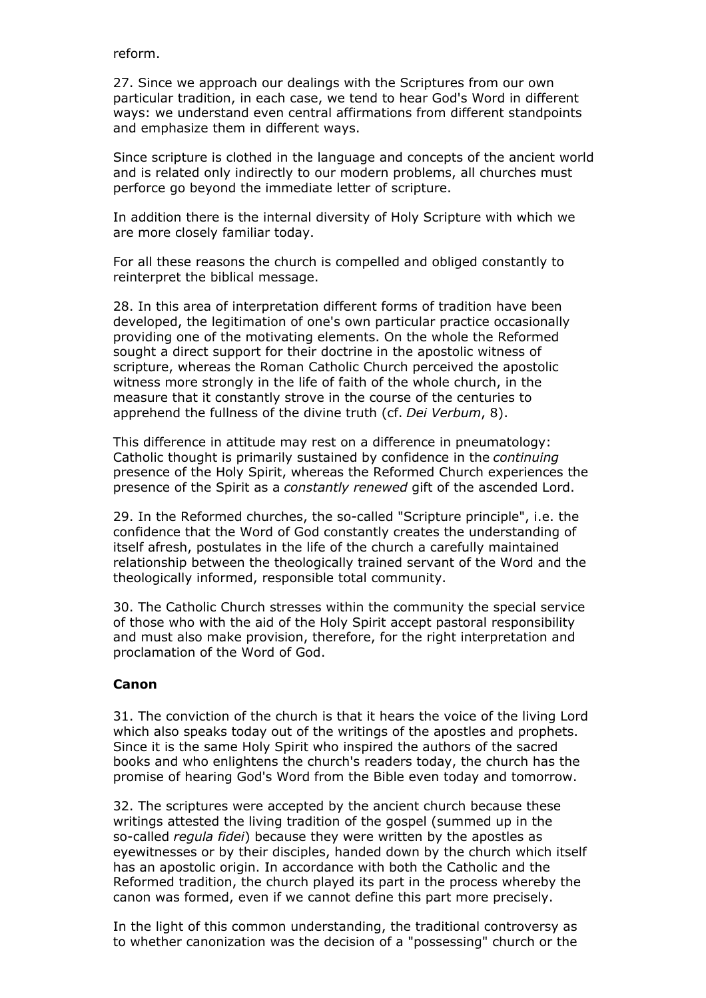reform.

27. Since we approach our dealings with the Scriptures from our own particular tradition, in each case, we tend to hear God's Word in different ways: we understand even central affirmations from different standpoints and emphasize them in different ways.

Since scripture is clothed in the language and concepts of the ancient world and is related only indirectly to our modern problems, all churches must perforce go beyond the immediate letter of scripture.

In addition there is the internal diversity of Holy Scripture with which we are more closely familiar today.

For all these reasons the church is compelled and obliged constantly to reinterpret the biblical message.

28. In this area of interpretation different forms of tradition have been developed, the legitimation of one's own particular practice occasionally providing one of the motivating elements. On the whole the Reformed sought a direct support for their doctrine in the apostolic witness of scripture, whereas the Roman Catholic Church perceived the apostolic witness more strongly in the life of faith of the whole church, in the measure that it constantly strove in the course of the centuries to apprehend the fullness of the divine truth (cf. *Dei Verbum*, 8).

This difference in attitude may rest on a difference in pneumatology: Catholic thought is primarily sustained by confidence in the *continuing* presence of the Holy Spirit, whereas the Reformed Church experiences the presence of the Spirit as a *constantly renewed* gift of the ascended Lord.

29. In the Reformed churches, the so-called "Scripture principle", i.e. the confidence that the Word of God constantly creates the understanding of itself afresh, postulates in the life of the church a carefully maintained relationship between the theologically trained servant of the Word and the theologically informed, responsible total community.

30. The Catholic Church stresses within the community the special service of those who with the aid of the Holy Spirit accept pastoral responsibility and must also make provision, therefore, for the right interpretation and proclamation of the Word of God.

## **Canon**

31. The conviction of the church is that it hears the voice of the living Lord which also speaks today out of the writings of the apostles and prophets. Since it is the same Holy Spirit who inspired the authors of the sacred books and who enlightens the church's readers today, the church has the promise of hearing God's Word from the Bible even today and tomorrow.

32. The scriptures were accepted by the ancient church because these writings attested the living tradition of the gospel (summed up in the so-called *regula fidei*) because they were written by the apostles as eyewitnesses or by their disciples, handed down by the church which itself has an apostolic origin. In accordance with both the Catholic and the Reformed tradition, the church played its part in the process whereby the canon was formed, even if we cannot define this part more precisely.

In the light of this common understanding, the traditional controversy as to whether canonization was the decision of a "possessing" church or the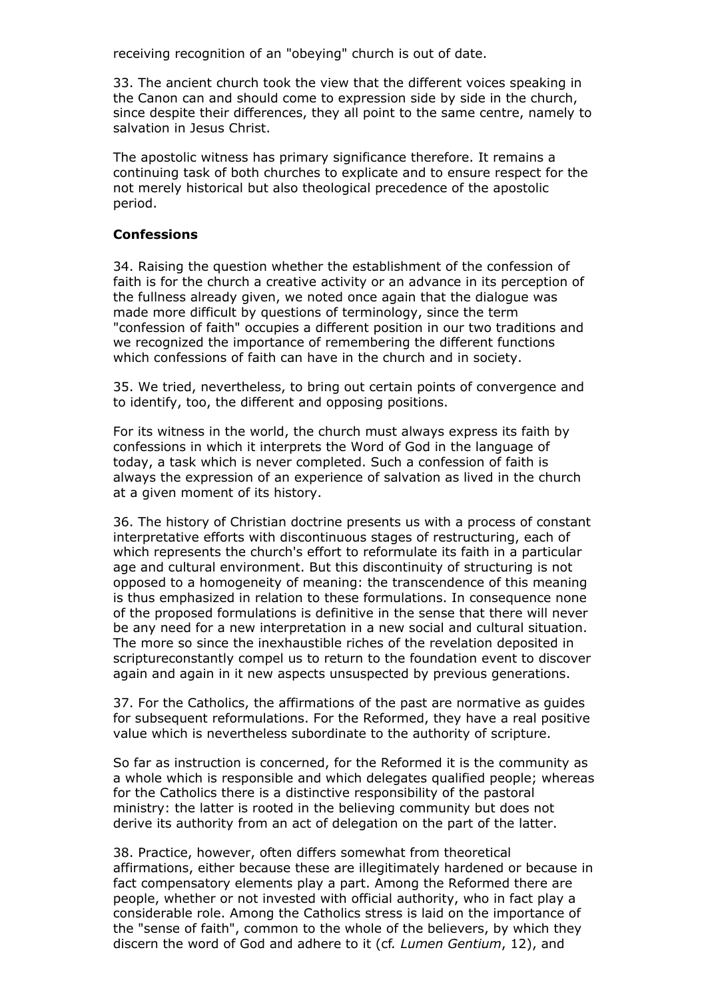receiving recognition of an "obeying" church is out of date.

33. The ancient church took the view that the different voices speaking in the Canon can and should come to expression side by side in the church, since despite their differences, they all point to the same centre, namely to salvation in Jesus Christ.

The apostolic witness has primary significance therefore. It remains a continuing task of both churches to explicate and to ensure respect for the not merely historical but also theological precedence of the apostolic period.

#### **Confessions**

34. Raising the question whether the establishment of the confession of faith is for the church a creative activity or an advance in its perception of the fullness already given, we noted once again that the dialogue was made more difficult by questions of terminology, since the term "confession of faith" occupies a different position in our two traditions and we recognized the importance of remembering the different functions which confessions of faith can have in the church and in society.

35. We tried, nevertheless, to bring out certain points of convergence and to identify, too, the different and opposing positions.

For its witness in the world, the church must always express its faith by confessions in which it interprets the Word of God in the language of today, a task which is never completed. Such a confession of faith is always the expression of an experience of salvation as lived in the church at a given moment of its history.

36. The history of Christian doctrine presents us with a process of constant interpretative efforts with discontinuous stages of restructuring, each of which represents the church's effort to reformulate its faith in a particular age and cultural environment. But this discontinuity of structuring is not opposed to a homogeneity of meaning: the transcendence of this meaning is thus emphasized in relation to these formulations. In consequence none of the proposed formulations is definitive in the sense that there will never be any need for a new interpretation in a new social and cultural situation. The more so since the inexhaustible riches of the revelation deposited in scriptureconstantly compel us to return to the foundation event to discover again and again in it new aspects unsuspected by previous generations.

37. For the Catholics, the affirmations of the past are normative as guides for subsequent reformulations. For the Reformed, they have a real positive value which is nevertheless subordinate to the authority of scripture.

So far as instruction is concerned, for the Reformed it is the community as a whole which is responsible and which delegates qualified people; whereas for the Catholics there is a distinctive responsibility of the pastoral ministry: the latter is rooted in the believing community but does not derive its authority from an act of delegation on the part of the latter.

38. Practice, however, often differs somewhat from theoretical affirmations, either because these are illegitimately hardened or because in fact compensatory elements play a part. Among the Reformed there are people, whether or not invested with official authority, who in fact play a considerable role. Among the Catholics stress is laid on the importance of the "sense of faith", common to the whole of the believers, by which they discern the word of God and adhere to it (cf*. Lumen Gentium*, 12), and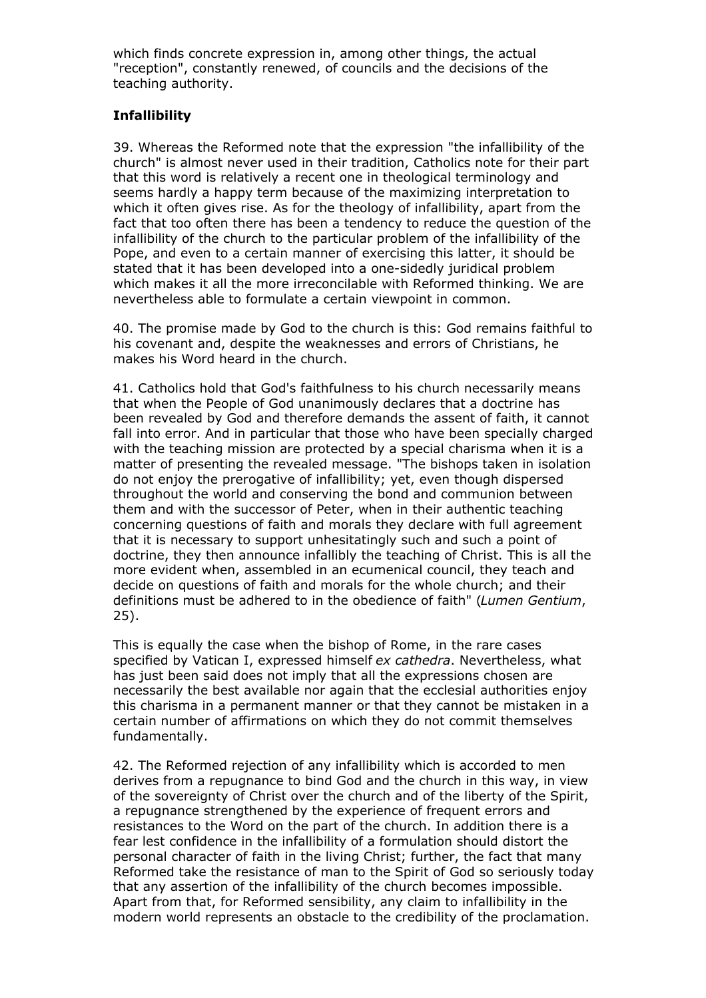which finds concrete expression in, among other things, the actual "reception", constantly renewed, of councils and the decisions of the teaching authority.

# **Infallibility**

39. Whereas the Reformed note that the expression "the infallibility of the church" is almost never used in their tradition, Catholics note for their part that this word is relatively a recent one in theological terminology and seems hardly a happy term because of the maximizing interpretation to which it often gives rise. As for the theology of infallibility, apart from the fact that too often there has been a tendency to reduce the question of the infallibility of the church to the particular problem of the infallibility of the Pope, and even to a certain manner of exercising this latter, it should be stated that it has been developed into a one-sidedly juridical problem which makes it all the more irreconcilable with Reformed thinking. We are nevertheless able to formulate a certain viewpoint in common.

40. The promise made by God to the church is this: God remains faithful to his covenant and, despite the weaknesses and errors of Christians, he makes his Word heard in the church.

41. Catholics hold that God's faithfulness to his church necessarily means that when the People of God unanimously declares that a doctrine has been revealed by God and therefore demands the assent of faith, it cannot fall into error. And in particular that those who have been specially charged with the teaching mission are protected by a special charisma when it is a matter of presenting the revealed message. "The bishops taken in isolation do not enjoy the prerogative of infallibility; yet, even though dispersed throughout the world and conserving the bond and communion between them and with the successor of Peter, when in their authentic teaching concerning questions of faith and morals they declare with full agreement that it is necessary to support unhesitatingly such and such a point of doctrine, they then announce infallibly the teaching of Christ. This is all the more evident when, assembled in an ecumenical council, they teach and decide on questions of faith and morals for the whole church; and their definitions must be adhered to in the obedience of faith" (*Lumen Gentium*, 25).

This is equally the case when the bishop of Rome, in the rare cases specified by Vatican I, expressed himself *ex cathedra*. Nevertheless, what has just been said does not imply that all the expressions chosen are necessarily the best available nor again that the ecclesial authorities enjoy this charisma in a permanent manner or that they cannot be mistaken in a certain number of affirmations on which they do not commit themselves fundamentally.

42. The Reformed rejection of any infallibility which is accorded to men derives from a repugnance to bind God and the church in this way, in view of the sovereignty of Christ over the church and of the liberty of the Spirit, a repugnance strengthened by the experience of frequent errors and resistances to the Word on the part of the church. In addition there is a fear lest confidence in the infallibility of a formulation should distort the personal character of faith in the living Christ; further, the fact that many Reformed take the resistance of man to the Spirit of God so seriously today that any assertion of the infallibility of the church becomes impossible. Apart from that, for Reformed sensibility, any claim to infallibility in the modern world represents an obstacle to the credibility of the proclamation.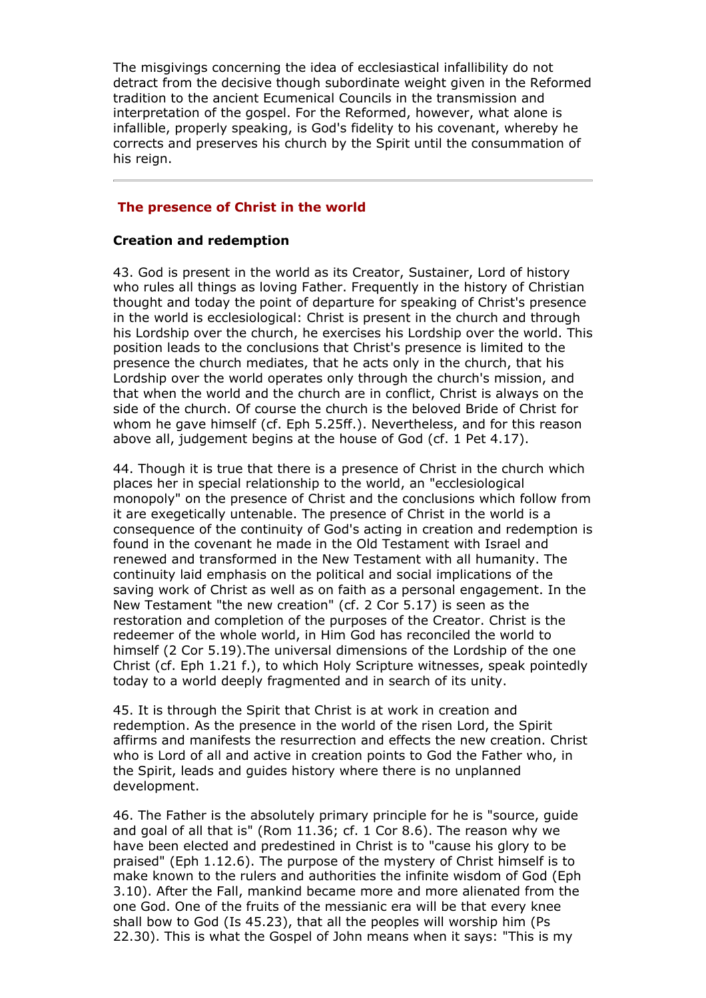The misgivings concerning the idea of ecclesiastical infallibility do not detract from the decisive though subordinate weight given in the Reformed tradition to the ancient Ecumenical Councils in the transmission and interpretation of the gospel. For the Reformed, however, what alone is infallible, properly speaking, is God's fidelity to his covenant, whereby he corrects and preserves his church by the Spirit until the consummation of his reign.

## **The presence of Christ in the world**

## **Creation and redemption**

43. God is present in the world as its Creator, Sustainer, Lord of history who rules all things as loving Father. Frequently in the history of Christian thought and today the point of departure for speaking of Christ's presence in the world is ecclesiological: Christ is present in the church and through his Lordship over the church, he exercises his Lordship over the world. This position leads to the conclusions that Christ's presence is limited to the presence the church mediates, that he acts only in the church, that his Lordship over the world operates only through the church's mission, and that when the world and the church are in conflict, Christ is always on the side of the church. Of course the church is the beloved Bride of Christ for whom he gave himself (cf. Eph 5.25ff.). Nevertheless, and for this reason above all, judgement begins at the house of God (cf. 1 Pet 4.17).

44. Though it is true that there is a presence of Christ in the church which places her in special relationship to the world, an "ecclesiological monopoly" on the presence of Christ and the conclusions which follow from it are exegetically untenable. The presence of Christ in the world is a consequence of the continuity of God's acting in creation and redemption is found in the covenant he made in the Old Testament with Israel and renewed and transformed in the New Testament with all humanity. The continuity laid emphasis on the political and social implications of the saving work of Christ as well as on faith as a personal engagement. In the New Testament "the new creation" (cf. 2 Cor 5.17) is seen as the restoration and completion of the purposes of the Creator. Christ is the redeemer of the whole world, in Him God has reconciled the world to himself (2 Cor 5.19).The universal dimensions of the Lordship of the one Christ (cf. Eph 1.21 f.), to which Holy Scripture witnesses, speak pointedly today to a world deeply fragmented and in search of its unity.

45. It is through the Spirit that Christ is at work in creation and redemption. As the presence in the world of the risen Lord, the Spirit affirms and manifests the resurrection and effects the new creation. Christ who is Lord of all and active in creation points to God the Father who, in the Spirit, leads and guides history where there is no unplanned development.

46. The Father is the absolutely primary principle for he is "source, guide and goal of all that is" (Rom 11.36; cf. 1 Cor 8.6). The reason why we have been elected and predestined in Christ is to "cause his glory to be praised" (Eph 1.12.6). The purpose of the mystery of Christ himself is to make known to the rulers and authorities the infinite wisdom of God (Eph 3.10). After the Fall, mankind became more and more alienated from the one God. One of the fruits of the messianic era will be that every knee shall bow to God (Is 45.23), that all the peoples will worship him (Ps 22.30). This is what the Gospel of John means when it says: "This is my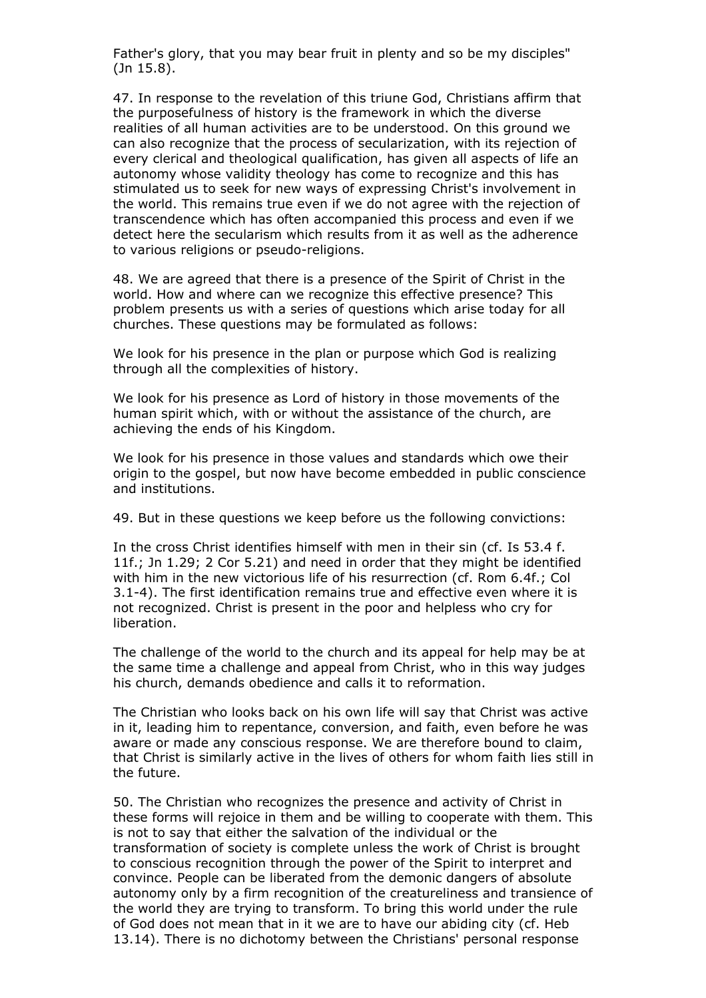Father's glory, that you may bear fruit in plenty and so be my disciples" (Jn 15.8).

47. In response to the revelation of this triune God, Christians affirm that the purposefulness of history is the framework in which the diverse realities of all human activities are to be understood. On this ground we can also recognize that the process of secularization, with its rejection of every clerical and theological qualification, has given all aspects of life an autonomy whose validity theology has come to recognize and this has stimulated us to seek for new ways of expressing Christ's involvement in the world. This remains true even if we do not agree with the rejection of transcendence which has often accompanied this process and even if we detect here the secularism which results from it as well as the adherence to various religions or pseudo-religions.

48. We are agreed that there is a presence of the Spirit of Christ in the world. How and where can we recognize this effective presence? This problem presents us with a series of questions which arise today for all churches. These questions may be formulated as follows:

We look for his presence in the plan or purpose which God is realizing through all the complexities of history.

We look for his presence as Lord of history in those movements of the human spirit which, with or without the assistance of the church, are achieving the ends of his Kingdom.

We look for his presence in those values and standards which owe their origin to the gospel, but now have become embedded in public conscience and institutions.

49. But in these questions we keep before us the following convictions:

In the cross Christ identifies himself with men in their sin (cf. Is 53.4 f. 11f.; Jn 1.29; 2 Cor 5.21) and need in order that they might be identified with him in the new victorious life of his resurrection (cf. Rom 6.4f.; Col 3.1-4). The first identification remains true and effective even where it is not recognized. Christ is present in the poor and helpless who cry for liberation.

The challenge of the world to the church and its appeal for help may be at the same time a challenge and appeal from Christ, who in this way judges his church, demands obedience and calls it to reformation.

The Christian who looks back on his own life will say that Christ was active in it, leading him to repentance, conversion, and faith, even before he was aware or made any conscious response. We are therefore bound to claim, that Christ is similarly active in the lives of others for whom faith lies still in the future.

50. The Christian who recognizes the presence and activity of Christ in these forms will rejoice in them and be willing to cooperate with them. This is not to say that either the salvation of the individual or the transformation of society is complete unless the work of Christ is brought to conscious recognition through the power of the Spirit to interpret and convince. People can be liberated from the demonic dangers of absolute autonomy only by a firm recognition of the creatureliness and transience of the world they are trying to transform. To bring this world under the rule of God does not mean that in it we are to have our abiding city (cf. Heb 13.14). There is no dichotomy between the Christians' personal response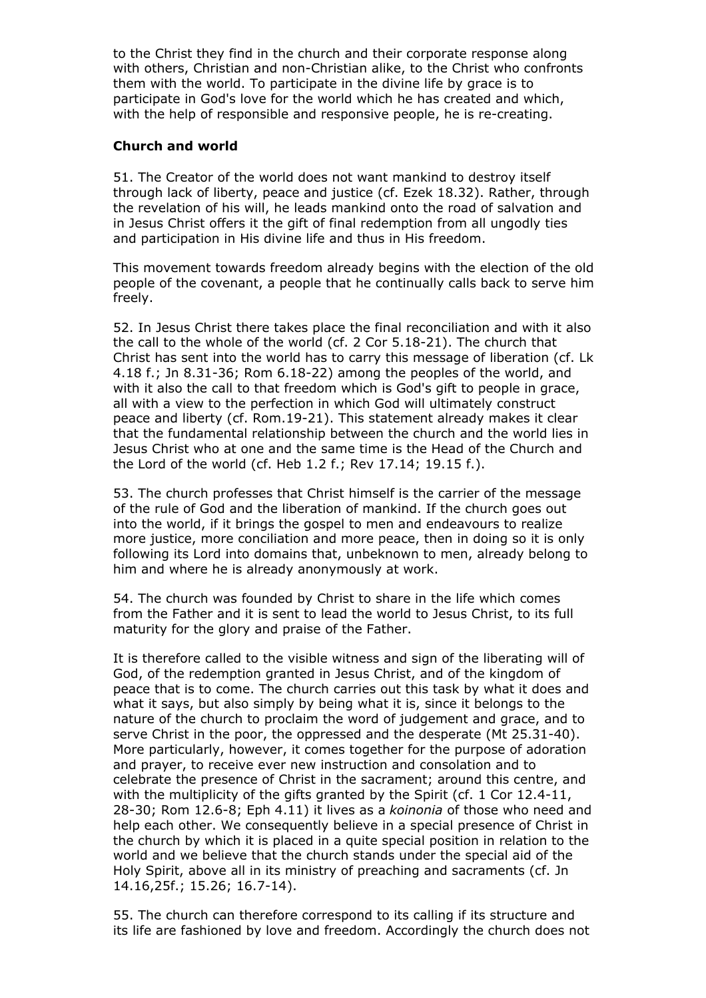to the Christ they find in the church and their corporate response along with others, Christian and non-Christian alike, to the Christ who confronts them with the world. To participate in the divine life by grace is to participate in God's love for the world which he has created and which, with the help of responsible and responsive people, he is re-creating.

## **Church and world**

51. The Creator of the world does not want mankind to destroy itself through lack of liberty, peace and justice (cf. Ezek 18.32). Rather, through the revelation of his will, he leads mankind onto the road of salvation and in Jesus Christ offers it the gift of final redemption from all ungodly ties and participation in His divine life and thus in His freedom.

This movement towards freedom already begins with the election of the old people of the covenant, a people that he continually calls back to serve him freely.

52. In Jesus Christ there takes place the final reconciliation and with it also the call to the whole of the world (cf. 2 Cor 5.18-21). The church that Christ has sent into the world has to carry this message of liberation (cf. Lk 4.18 f.; Jn 8.31-36; Rom 6.18-22) among the peoples of the world, and with it also the call to that freedom which is God's gift to people in grace, all with a view to the perfection in which God will ultimately construct peace and liberty (cf. Rom.19-21). This statement already makes it clear that the fundamental relationship between the church and the world lies in Jesus Christ who at one and the same time is the Head of the Church and the Lord of the world (cf. Heb 1.2 f.; Rev 17.14; 19.15 f.).

53. The church professes that Christ himself is the carrier of the message of the rule of God and the liberation of mankind. If the church goes out into the world, if it brings the gospel to men and endeavours to realize more justice, more conciliation and more peace, then in doing so it is only following its Lord into domains that, unbeknown to men, already belong to him and where he is already anonymously at work.

54. The church was founded by Christ to share in the life which comes from the Father and it is sent to lead the world to Jesus Christ, to its full maturity for the glory and praise of the Father.

It is therefore called to the visible witness and sign of the liberating will of God, of the redemption granted in Jesus Christ, and of the kingdom of peace that is to come. The church carries out this task by what it does and what it says, but also simply by being what it is, since it belongs to the nature of the church to proclaim the word of judgement and grace, and to serve Christ in the poor, the oppressed and the desperate (Mt 25.31-40). More particularly, however, it comes together for the purpose of adoration and prayer, to receive ever new instruction and consolation and to celebrate the presence of Christ in the sacrament; around this centre, and with the multiplicity of the gifts granted by the Spirit (cf. 1 Cor 12.4-11, 28-30; Rom 12.6-8; Eph 4.11) it lives as a *koinonia* of those who need and help each other. We consequently believe in a special presence of Christ in the church by which it is placed in a quite special position in relation to the world and we believe that the church stands under the special aid of the Holy Spirit, above all in its ministry of preaching and sacraments (cf. Jn 14.16,25f.; 15.26; 16.7-14).

55. The church can therefore correspond to its calling if its structure and its life are fashioned by love and freedom. Accordingly the church does not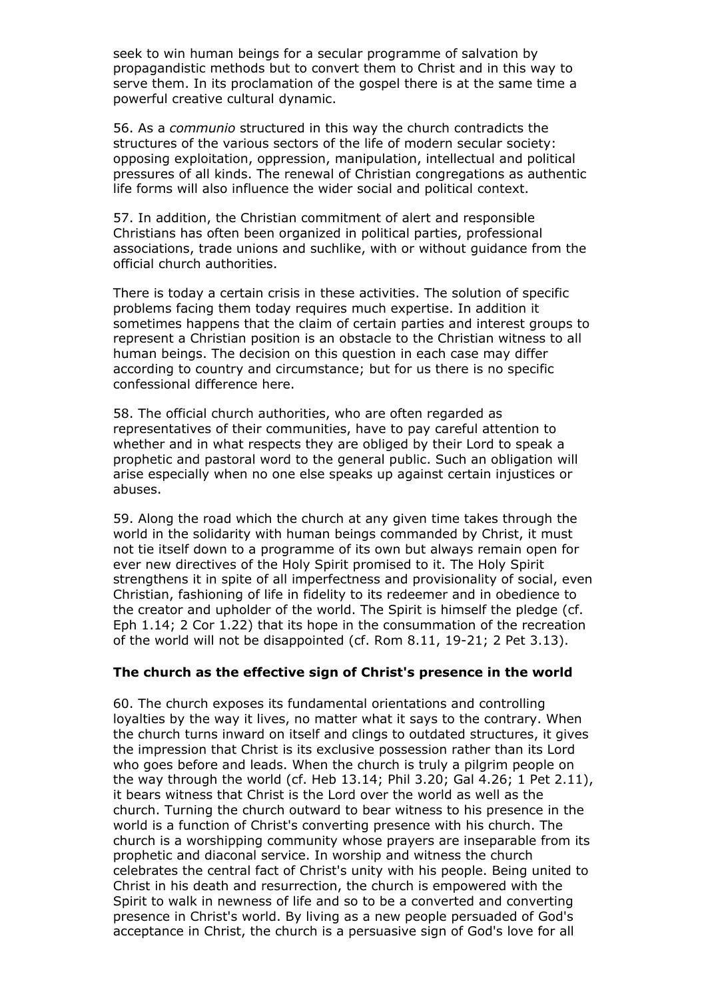seek to win human beings for a secular programme of salvation by propagandistic methods but to convert them to Christ and in this way to serve them. In its proclamation of the gospel there is at the same time a powerful creative cultural dynamic.

56. As a *communio* structured in this way the church contradicts the structures of the various sectors of the life of modern secular society: opposing exploitation, oppression, manipulation, intellectual and political pressures of all kinds. The renewal of Christian congregations as authentic life forms will also influence the wider social and political context.

57. In addition, the Christian commitment of alert and responsible Christians has often been organized in political parties, professional associations, trade unions and suchlike, with or without guidance from the official church authorities.

There is today a certain crisis in these activities. The solution of specific problems facing them today requires much expertise. In addition it sometimes happens that the claim of certain parties and interest groups to represent a Christian position is an obstacle to the Christian witness to all human beings. The decision on this question in each case may differ according to country and circumstance; but for us there is no specific confessional difference here.

58. The official church authorities, who are often regarded as representatives of their communities, have to pay careful attention to whether and in what respects they are obliged by their Lord to speak a prophetic and pastoral word to the general public. Such an obligation will arise especially when no one else speaks up against certain injustices or abuses.

59. Along the road which the church at any given time takes through the world in the solidarity with human beings commanded by Christ, it must not tie itself down to a programme of its own but always remain open for ever new directives of the Holy Spirit promised to it. The Holy Spirit strengthens it in spite of all imperfectness and provisionality of social, even Christian, fashioning of life in fidelity to its redeemer and in obedience to the creator and upholder of the world. The Spirit is himself the pledge (cf. Eph 1.14; 2 Cor 1.22) that its hope in the consummation of the recreation of the world will not be disappointed (cf. Rom 8.11, 19-21; 2 Pet 3.13).

#### **The church as the effective sign of Christ's presence in the world**

60. The church exposes its fundamental orientations and controlling loyalties by the way it lives, no matter what it says to the contrary. When the church turns inward on itself and clings to outdated structures, it gives the impression that Christ is its exclusive possession rather than its Lord who goes before and leads. When the church is truly a pilgrim people on the way through the world (cf. Heb 13.14; Phil 3.20; Gal 4.26; 1 Pet 2.11), it bears witness that Christ is the Lord over the world as well as the church. Turning the church outward to bear witness to his presence in the world is a function of Christ's converting presence with his church. The church is a worshipping community whose prayers are inseparable from its prophetic and diaconal service. In worship and witness the church celebrates the central fact of Christ's unity with his people. Being united to Christ in his death and resurrection, the church is empowered with the Spirit to walk in newness of life and so to be a converted and converting presence in Christ's world. By living as a new people persuaded of God's acceptance in Christ, the church is a persuasive sign of God's love for all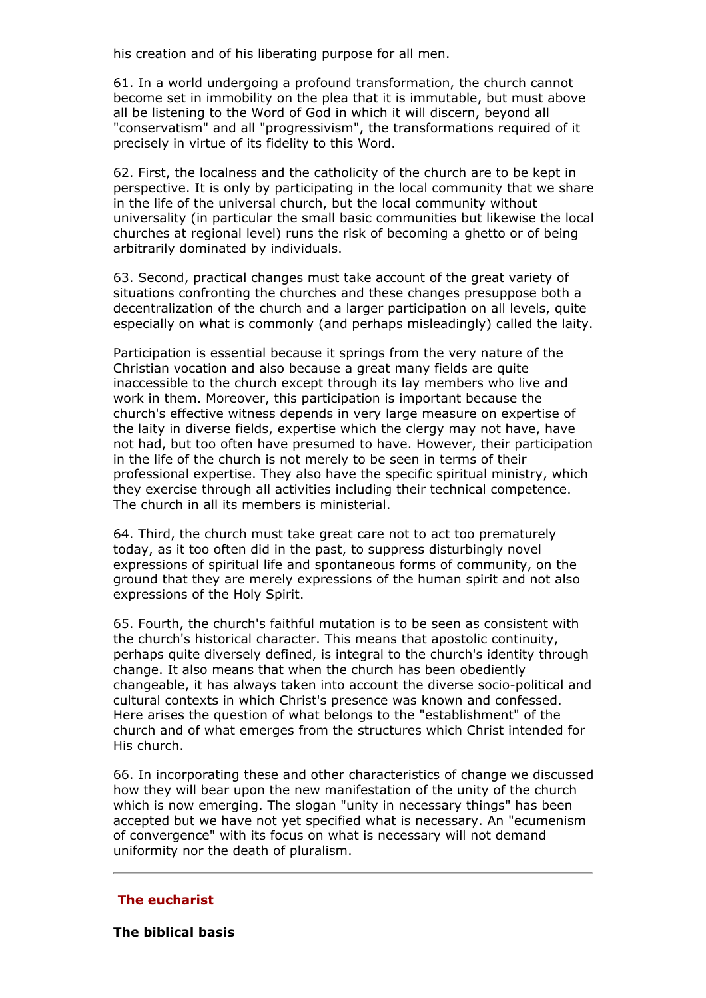his creation and of his liberating purpose for all men.

61. In a world undergoing a profound transformation, the church cannot become set in immobility on the plea that it is immutable, but must above all be listening to the Word of God in which it will discern, beyond all "conservatism" and all "progressivism", the transformations required of it precisely in virtue of its fidelity to this Word.

62. First, the localness and the catholicity of the church are to be kept in perspective. It is only by participating in the local community that we share in the life of the universal church, but the local community without universality (in particular the small basic communities but likewise the local churches at regional level) runs the risk of becoming a ghetto or of being arbitrarily dominated by individuals.

63. Second, practical changes must take account of the great variety of situations confronting the churches and these changes presuppose both a decentralization of the church and a larger participation on all levels, quite especially on what is commonly (and perhaps misleadingly) called the laity.

Participation is essential because it springs from the very nature of the Christian vocation and also because a great many fields are quite inaccessible to the church except through its lay members who live and work in them. Moreover, this participation is important because the church's effective witness depends in very large measure on expertise of the laity in diverse fields, expertise which the clergy may not have, have not had, but too often have presumed to have. However, their participation in the life of the church is not merely to be seen in terms of their professional expertise. They also have the specific spiritual ministry, which they exercise through all activities including their technical competence. The church in all its members is ministerial.

64. Third, the church must take great care not to act too prematurely today, as it too often did in the past, to suppress disturbingly novel expressions of spiritual life and spontaneous forms of community, on the ground that they are merely expressions of the human spirit and not also expressions of the Holy Spirit.

65. Fourth, the church's faithful mutation is to be seen as consistent with the church's historical character. This means that apostolic continuity, perhaps quite diversely defined, is integral to the church's identity through change. It also means that when the church has been obediently changeable, it has always taken into account the diverse socio-political and cultural contexts in which Christ's presence was known and confessed. Here arises the question of what belongs to the "establishment" of the church and of what emerges from the structures which Christ intended for His church.

66. In incorporating these and other characteristics of change we discussed how they will bear upon the new manifestation of the unity of the church which is now emerging. The slogan "unity in necessary things" has been accepted but we have not yet specified what is necessary. An "ecumenism of convergence" with its focus on what is necessary will not demand uniformity nor the death of pluralism.

## **The eucharist**

**The biblical basis**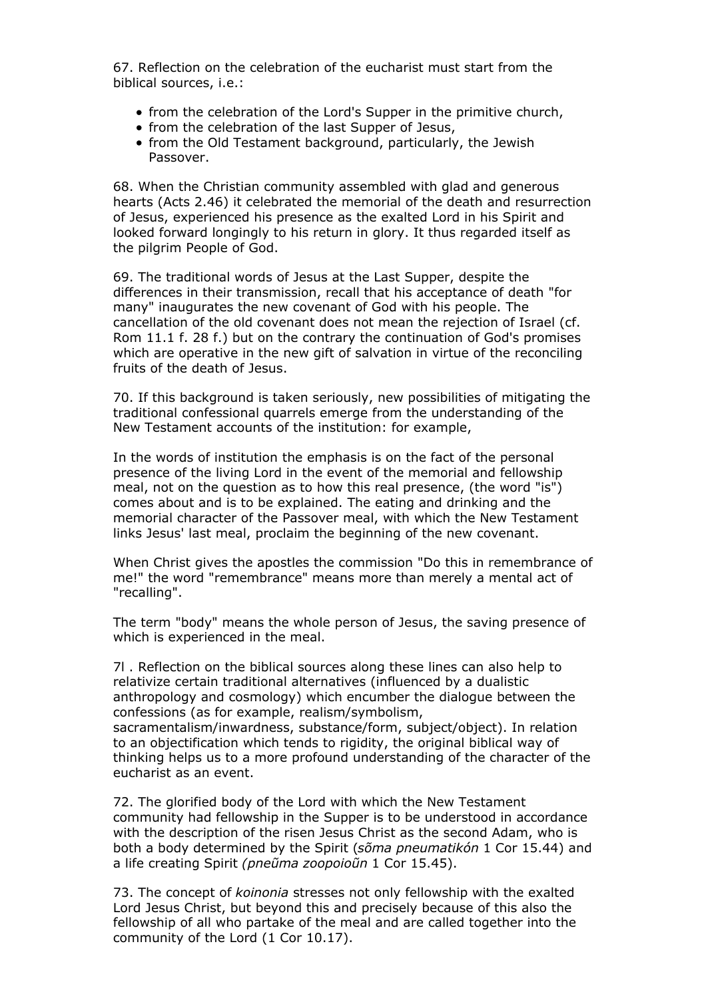67. Reflection on the celebration of the eucharist must start from the biblical sources, i.e.:

- from the celebration of the Lord's Supper in the primitive church,
- from the celebration of the last Supper of Jesus,
- from the Old Testament background, particularly, the Jewish Passover.

68. When the Christian community assembled with glad and generous hearts (Acts 2.46) it celebrated the memorial of the death and resurrection of Jesus, experienced his presence as the exalted Lord in his Spirit and looked forward longingly to his return in glory. It thus regarded itself as the pilgrim People of God.

69. The traditional words of Jesus at the Last Supper, despite the differences in their transmission, recall that his acceptance of death "for many" inaugurates the new covenant of God with his people. The cancellation of the old covenant does not mean the rejection of Israel (cf. Rom 11.1 f. 28 f.) but on the contrary the continuation of God's promises which are operative in the new gift of salvation in virtue of the reconciling fruits of the death of Jesus.

70. If this background is taken seriously, new possibilities of mitigating the traditional confessional quarrels emerge from the understanding of the New Testament accounts of the institution: for example,

In the words of institution the emphasis is on the fact of the personal presence of the living Lord in the event of the memorial and fellowship meal, not on the question as to how this real presence, (the word "is") comes about and is to be explained. The eating and drinking and the memorial character of the Passover meal, with which the New Testament links Jesus' last meal, proclaim the beginning of the new covenant.

When Christ gives the apostles the commission "Do this in remembrance of me!" the word "remembrance" means more than merely a mental act of "recalling".

The term "body" means the whole person of Jesus, the saving presence of which is experienced in the meal.

7l . Reflection on the biblical sources along these lines can also help to relativize certain traditional alternatives (influenced by a dualistic anthropology and cosmology) which encumber the dialogue between the confessions (as for example, realism/symbolism,

sacramentalism/inwardness, substance/form, subject/object). In relation to an objectification which tends to rigidity, the original biblical way of thinking helps us to a more profound understanding of the character of the eucharist as an event.

72. The glorified body of the Lord with which the New Testament community had fellowship in the Supper is to be understood in accordance with the description of the risen Jesus Christ as the second Adam, who is both a body determined by the Spirit (*sõma pneumatikón* 1 Cor 15.44) and a life creating Spirit *(pneũma zoopoioũn* 1 Cor 15.45).

73. The concept of *koinonia* stresses not only fellowship with the exalted Lord Jesus Christ, but beyond this and precisely because of this also the fellowship of all who partake of the meal and are called together into the community of the Lord (1 Cor 10.17).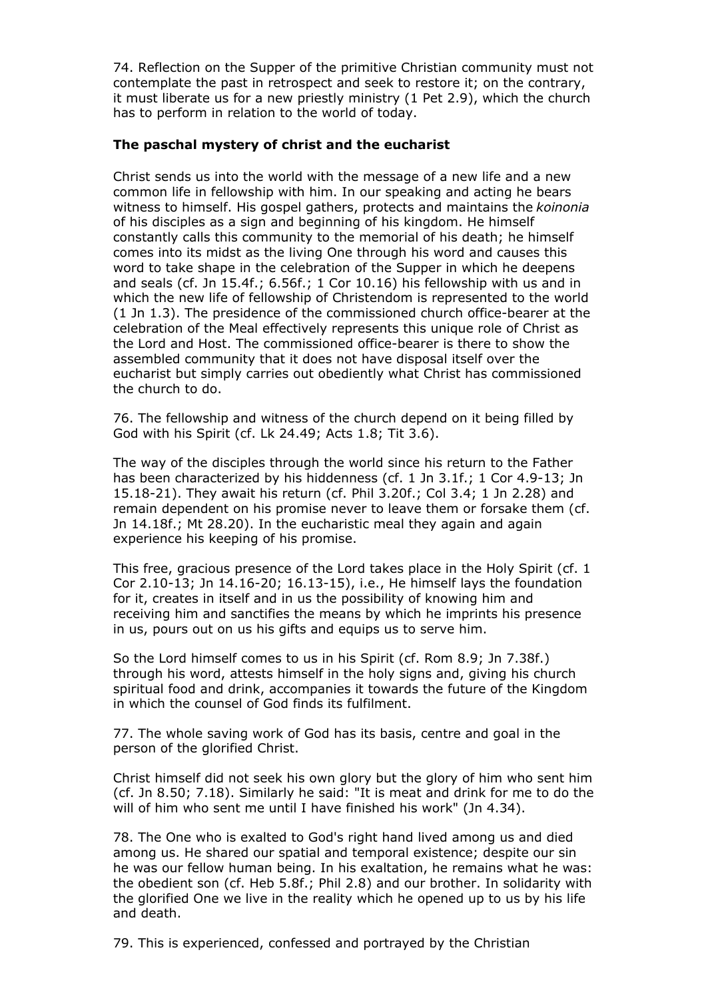74. Reflection on the Supper of the primitive Christian community must not contemplate the past in retrospect and seek to restore it; on the contrary, it must liberate us for a new priestly ministry (1 Pet 2.9), which the church has to perform in relation to the world of today.

## **The paschal mystery of christ and the eucharist**

Christ sends us into the world with the message of a new life and a new common life in fellowship with him. In our speaking and acting he bears witness to himself. His gospel gathers, protects and maintains the *koinonia* of his disciples as a sign and beginning of his kingdom. He himself constantly calls this community to the memorial of his death; he himself comes into its midst as the living One through his word and causes this word to take shape in the celebration of the Supper in which he deepens and seals (cf. Jn 15.4f.; 6.56f.; 1 Cor 10.16) his fellowship with us and in which the new life of fellowship of Christendom is represented to the world (1 Jn 1.3). The presidence of the commissioned church office-bearer at the celebration of the Meal effectively represents this unique role of Christ as the Lord and Host. The commissioned office-bearer is there to show the assembled community that it does not have disposal itself over the eucharist but simply carries out obediently what Christ has commissioned the church to do.

76. The fellowship and witness of the church depend on it being filled by God with his Spirit (cf. Lk 24.49; Acts 1.8; Tit 3.6).

The way of the disciples through the world since his return to the Father has been characterized by his hiddenness (cf. 1 Jn 3.1f.; 1 Cor 4.9-13; Jn 15.18-21). They await his return (cf. Phil 3.20f.; Col 3.4; 1 Jn 2.28) and remain dependent on his promise never to leave them or forsake them (cf. Jn 14.18f.; Mt 28.20). In the eucharistic meal they again and again experience his keeping of his promise.

This free, gracious presence of the Lord takes place in the Holy Spirit (cf. 1 Cor 2.10-13; Jn 14.16-20; 16.13-15), i.e., He himself lays the foundation for it, creates in itself and in us the possibility of knowing him and receiving him and sanctifies the means by which he imprints his presence in us, pours out on us his gifts and equips us to serve him.

So the Lord himself comes to us in his Spirit (cf. Rom 8.9; Jn 7.38f.) through his word, attests himself in the holy signs and, giving his church spiritual food and drink, accompanies it towards the future of the Kingdom in which the counsel of God finds its fulfilment.

77. The whole saving work of God has its basis, centre and goal in the person of the glorified Christ.

Christ himself did not seek his own glory but the glory of him who sent him (cf. Jn 8.50; 7.18). Similarly he said: "It is meat and drink for me to do the will of him who sent me until I have finished his work" (Jn 4.34).

78. The One who is exalted to God's right hand lived among us and died among us. He shared our spatial and temporal existence; despite our sin he was our fellow human being. In his exaltation, he remains what he was: the obedient son (cf. Heb 5.8f.; Phil 2.8) and our brother. In solidarity with the glorified One we live in the reality which he opened up to us by his life and death.

79. This is experienced, confessed and portrayed by the Christian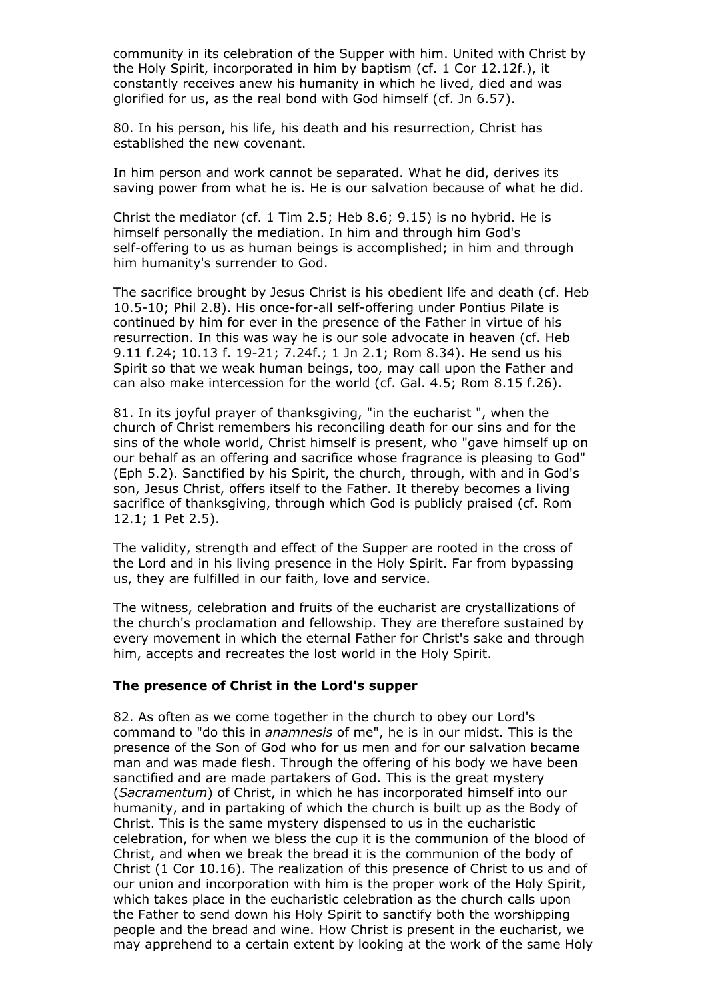community in its celebration of the Supper with him. United with Christ by the Holy Spirit, incorporated in him by baptism (cf. 1 Cor 12.12f.), it constantly receives anew his humanity in which he lived, died and was glorified for us, as the real bond with God himself (cf. Jn 6.57).

80. In his person, his life, his death and his resurrection, Christ has established the new covenant.

In him person and work cannot be separated. What he did, derives its saving power from what he is. He is our salvation because of what he did.

Christ the mediator (cf. 1 Tim 2.5; Heb 8.6; 9.15) is no hybrid. He is himself personally the mediation. In him and through him God's self-offering to us as human beings is accomplished; in him and through him humanity's surrender to God.

The sacrifice brought by Jesus Christ is his obedient life and death (cf. Heb 10.5-10; Phil 2.8). His once-for-all self-offering under Pontius Pilate is continued by him for ever in the presence of the Father in virtue of his resurrection. In this was way he is our sole advocate in heaven (cf. Heb 9.11 f.24; 10.13 f. 19-21; 7.24f.; 1 Jn 2.1; Rom 8.34). He send us his Spirit so that we weak human beings, too, may call upon the Father and can also make intercession for the world (cf. Gal. 4.5; Rom 8.15 f.26).

81. In its joyful prayer of thanksgiving, "in the eucharist ", when the church of Christ remembers his reconciling death for our sins and for the sins of the whole world, Christ himself is present, who "gave himself up on our behalf as an offering and sacrifice whose fragrance is pleasing to God" (Eph 5.2). Sanctified by his Spirit, the church, through, with and in God's son, Jesus Christ, offers itself to the Father. It thereby becomes a living sacrifice of thanksgiving, through which God is publicly praised (cf. Rom 12.1; 1 Pet 2.5).

The validity, strength and effect of the Supper are rooted in the cross of the Lord and in his living presence in the Holy Spirit. Far from bypassing us, they are fulfilled in our faith, love and service.

The witness, celebration and fruits of the eucharist are crystallizations of the church's proclamation and fellowship. They are therefore sustained by every movement in which the eternal Father for Christ's sake and through him, accepts and recreates the lost world in the Holy Spirit.

## **The presence of Christ in the Lord's supper**

82. As often as we come together in the church to obey our Lord's command to "do this in *anamnesis* of me", he is in our midst. This is the presence of the Son of God who for us men and for our salvation became man and was made flesh. Through the offering of his body we have been sanctified and are made partakers of God. This is the great mystery (*Sacramentum*) of Christ, in which he has incorporated himself into our humanity, and in partaking of which the church is built up as the Body of Christ. This is the same mystery dispensed to us in the eucharistic celebration, for when we bless the cup it is the communion of the blood of Christ, and when we break the bread it is the communion of the body of Christ (1 Cor 10.16). The realization of this presence of Christ to us and of our union and incorporation with him is the proper work of the Holy Spirit, which takes place in the eucharistic celebration as the church calls upon the Father to send down his Holy Spirit to sanctify both the worshipping people and the bread and wine. How Christ is present in the eucharist, we may apprehend to a certain extent by looking at the work of the same Holy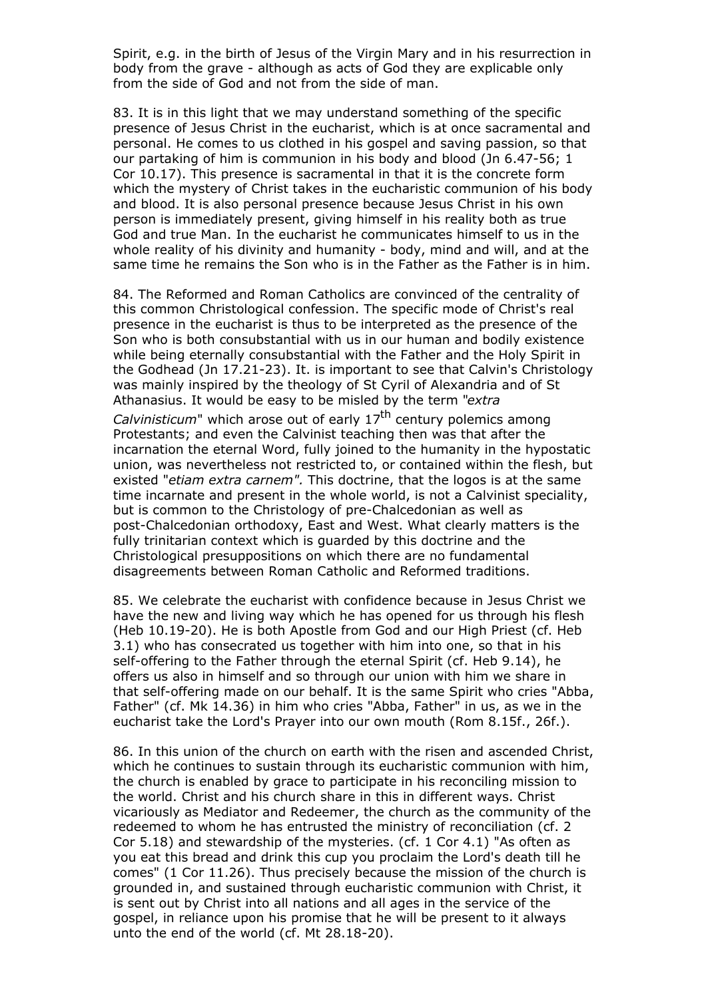Spirit, e.g. in the birth of Jesus of the Virgin Mary and in his resurrection in body from the grave - although as acts of God they are explicable only from the side of God and not from the side of man.

83. It is in this light that we may understand something of the specific presence of Jesus Christ in the eucharist, which is at once sacramental and personal. He comes to us clothed in his gospel and saving passion, so that our partaking of him is communion in his body and blood (Jn 6.47-56; 1 Cor 10.17). This presence is sacramental in that it is the concrete form which the mystery of Christ takes in the eucharistic communion of his body and blood. It is also personal presence because Jesus Christ in his own person is immediately present, giving himself in his reality both as true God and true Man. In the eucharist he communicates himself to us in the whole reality of his divinity and humanity - body, mind and will, and at the same time he remains the Son who is in the Father as the Father is in him.

84. The Reformed and Roman Catholics are convinced of the centrality of this common Christological confession. The specific mode of Christ's real presence in the eucharist is thus to be interpreted as the presence of the Son who is both consubstantial with us in our human and bodily existence while being eternally consubstantial with the Father and the Holy Spirit in the Godhead (Jn 17.21-23). It. is important to see that Calvin's Christology was mainly inspired by the theology of St Cyril of Alexandria and of St Athanasius. It would be easy to be misled by the term "*extra Calvinisticum*" which arose out of early 17<sup>th</sup> century polemics among Protestants; and even the Calvinist teaching then was that after the incarnation the eternal Word, fully joined to the humanity in the hypostatic union, was nevertheless not restricted to, or contained within the flesh, but existed "*etiam extra carnem".* This doctrine, that the logos is at the same time incarnate and present in the whole world, is not a Calvinist speciality, but is common to the Christology of pre-Chalcedonian as well as post-Chalcedonian orthodoxy, East and West. What clearly matters is the fully trinitarian context which is guarded by this doctrine and the Christological presuppositions on which there are no fundamental disagreements between Roman Catholic and Reformed traditions.

85. We celebrate the eucharist with confidence because in Jesus Christ we have the new and living way which he has opened for us through his flesh (Heb 10.19-20). He is both Apostle from God and our High Priest (cf. Heb 3.1) who has consecrated us together with him into one, so that in his self-offering to the Father through the eternal Spirit (cf. Heb 9.14), he offers us also in himself and so through our union with him we share in that self-offering made on our behalf. It is the same Spirit who cries "Abba, Father" (cf. Mk 14.36) in him who cries "Abba, Father" in us, as we in the eucharist take the Lord's Prayer into our own mouth (Rom 8.15f., 26f.).

86. In this union of the church on earth with the risen and ascended Christ, which he continues to sustain through its eucharistic communion with him, the church is enabled by grace to participate in his reconciling mission to the world. Christ and his church share in this in different ways. Christ vicariously as Mediator and Redeemer, the church as the community of the redeemed to whom he has entrusted the ministry of reconciliation (cf. 2 Cor 5.18) and stewardship of the mysteries. (cf. 1 Cor 4.1) "As often as you eat this bread and drink this cup you proclaim the Lord's death till he comes" (1 Cor 11.26). Thus precisely because the mission of the church is grounded in, and sustained through eucharistic communion with Christ, it is sent out by Christ into all nations and all ages in the service of the gospel, in reliance upon his promise that he will be present to it always unto the end of the world (cf. Mt 28.18-20).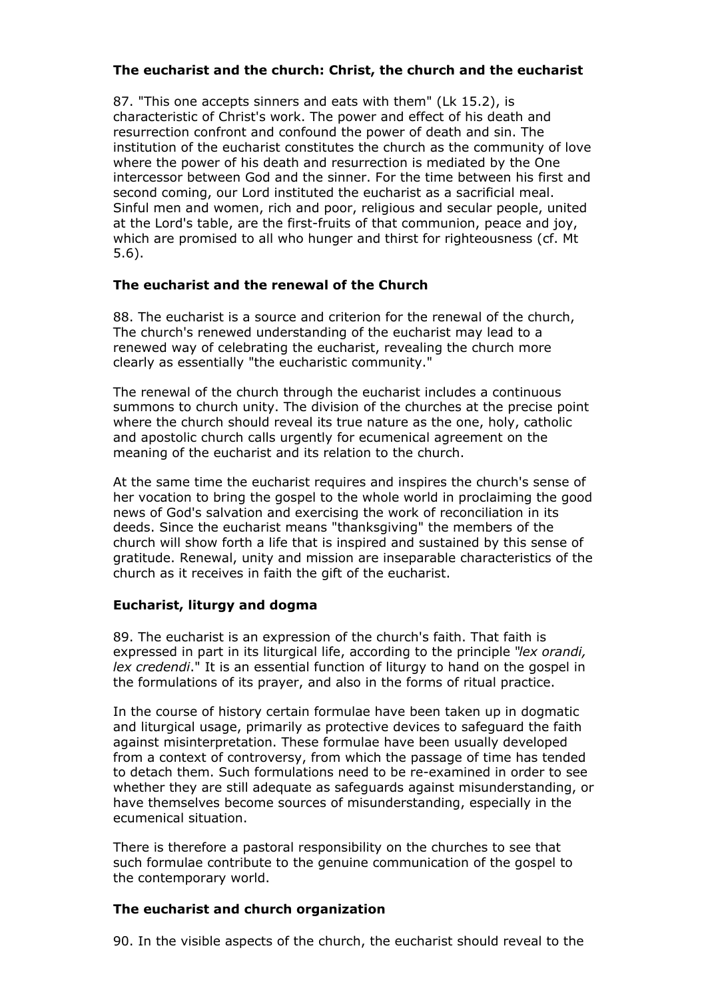# **The eucharist and the church: Christ, the church and the eucharist**

87. "This one accepts sinners and eats with them" (Lk 15.2), is characteristic of Christ's work. The power and effect of his death and resurrection confront and confound the power of death and sin. The institution of the eucharist constitutes the church as the community of love where the power of his death and resurrection is mediated by the One intercessor between God and the sinner. For the time between his first and second coming, our Lord instituted the eucharist as a sacrificial meal. Sinful men and women, rich and poor, religious and secular people, united at the Lord's table, are the first-fruits of that communion, peace and joy, which are promised to all who hunger and thirst for righteousness (cf. Mt 5.6).

## **The eucharist and the renewal of the Church**

88. The eucharist is a source and criterion for the renewal of the church, The church's renewed understanding of the eucharist may lead to a renewed way of celebrating the eucharist, revealing the church more clearly as essentially "the eucharistic community."

The renewal of the church through the eucharist includes a continuous summons to church unity. The division of the churches at the precise point where the church should reveal its true nature as the one, holy, catholic and apostolic church calls urgently for ecumenical agreement on the meaning of the eucharist and its relation to the church.

At the same time the eucharist requires and inspires the church's sense of her vocation to bring the gospel to the whole world in proclaiming the good news of God's salvation and exercising the work of reconciliation in its deeds. Since the eucharist means "thanksgiving" the members of the church will show forth a life that is inspired and sustained by this sense of gratitude. Renewal, unity and mission are inseparable characteristics of the church as it receives in faith the gift of the eucharist.

## **Eucharist, liturgy and dogma**

89. The eucharist is an expression of the church's faith. That faith is expressed in part in its liturgical life, according to the principle "*lex orandi, lex credendi*." It is an essential function of liturgy to hand on the gospel in the formulations of its prayer, and also in the forms of ritual practice.

In the course of history certain formulae have been taken up in dogmatic and liturgical usage, primarily as protective devices to safeguard the faith against misinterpretation. These formulae have been usually developed from a context of controversy, from which the passage of time has tended to detach them. Such formulations need to be re-examined in order to see whether they are still adequate as safeguards against misunderstanding, or have themselves become sources of misunderstanding, especially in the ecumenical situation.

There is therefore a pastoral responsibility on the churches to see that such formulae contribute to the genuine communication of the gospel to the contemporary world.

# **The eucharist and church organization**

90. In the visible aspects of the church, the eucharist should reveal to the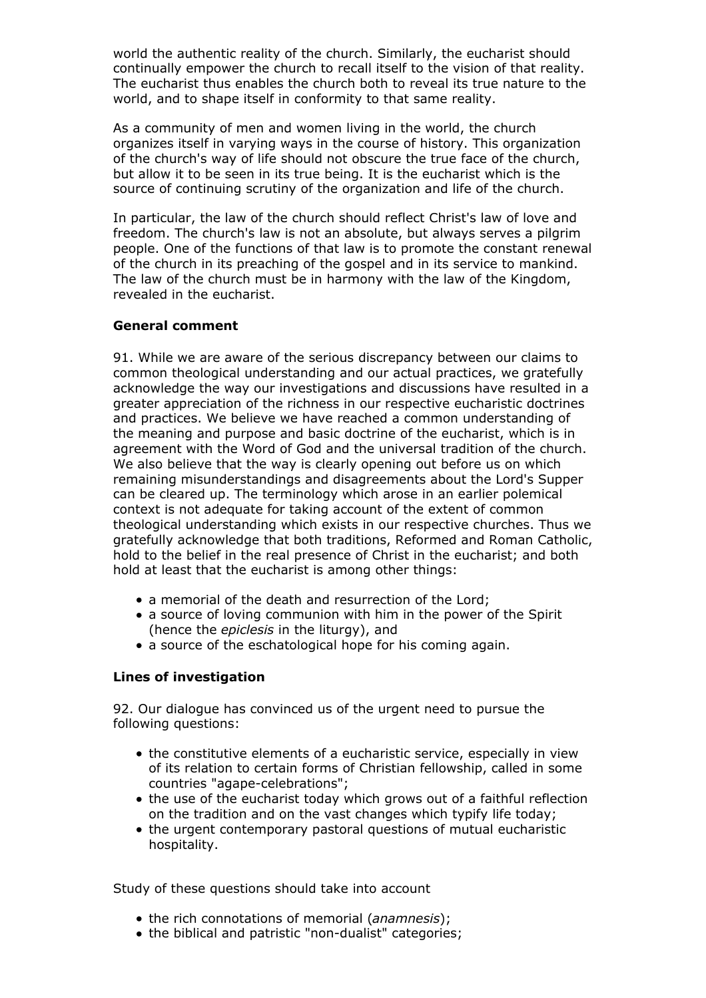world the authentic reality of the church. Similarly, the eucharist should continually empower the church to recall itself to the vision of that reality. The eucharist thus enables the church both to reveal its true nature to the world, and to shape itself in conformity to that same reality.

As a community of men and women living in the world, the church organizes itself in varying ways in the course of history. This organization of the church's way of life should not obscure the true face of the church, but allow it to be seen in its true being. It is the eucharist which is the source of continuing scrutiny of the organization and life of the church.

In particular, the law of the church should reflect Christ's law of love and freedom. The church's law is not an absolute, but always serves a pilgrim people. One of the functions of that law is to promote the constant renewal of the church in its preaching of the gospel and in its service to mankind. The law of the church must be in harmony with the law of the Kingdom, revealed in the eucharist.

## **General comment**

91. While we are aware of the serious discrepancy between our claims to common theological understanding and our actual practices, we gratefully acknowledge the way our investigations and discussions have resulted in a greater appreciation of the richness in our respective eucharistic doctrines and practices. We believe we have reached a common understanding of the meaning and purpose and basic doctrine of the eucharist, which is in agreement with the Word of God and the universal tradition of the church. We also believe that the way is clearly opening out before us on which remaining misunderstandings and disagreements about the Lord's Supper can be cleared up. The terminology which arose in an earlier polemical context is not adequate for taking account of the extent of common theological understanding which exists in our respective churches. Thus we gratefully acknowledge that both traditions, Reformed and Roman Catholic, hold to the belief in the real presence of Christ in the eucharist; and both hold at least that the eucharist is among other things:

- a memorial of the death and resurrection of the Lord;
- a source of loving communion with him in the power of the Spirit (hence the *epiclesis* in the liturgy), and
- a source of the eschatological hope for his coming again.

# **Lines of investigation**

92. Our dialogue has convinced us of the urgent need to pursue the following questions:

- the constitutive elements of a eucharistic service, especially in view of its relation to certain forms of Christian fellowship, called in some countries "agape-celebrations";
- the use of the eucharist today which grows out of a faithful reflection on the tradition and on the vast changes which typify life today;
- the urgent contemporary pastoral questions of mutual eucharistic hospitality.

Study of these questions should take into account

- the rich connotations of memorial (*anamnesis*);
- the biblical and patristic "non-dualist" categories;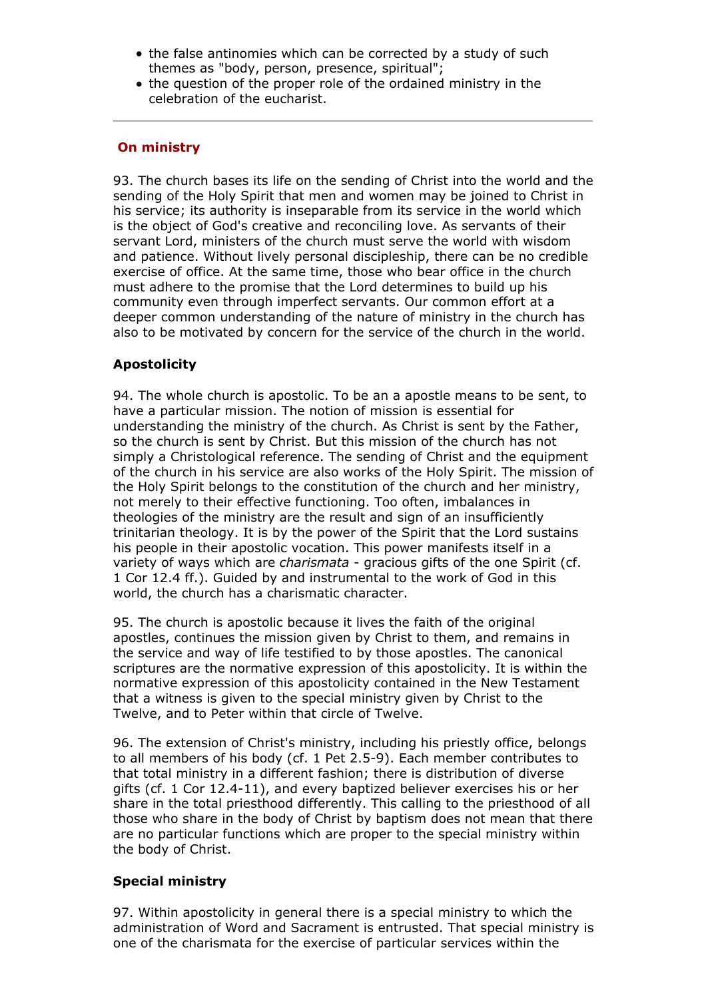- the false antinomies which can be corrected by a study of such themes as "body, person, presence, spiritual";
- the question of the proper role of the ordained ministry in the celebration of the eucharist.

## **On ministry**

93. The church bases its life on the sending of Christ into the world and the sending of the Holy Spirit that men and women may be joined to Christ in his service; its authority is inseparable from its service in the world which is the object of God's creative and reconciling love. As servants of their servant Lord, ministers of the church must serve the world with wisdom and patience. Without lively personal discipleship, there can be no credible exercise of office. At the same time, those who bear office in the church must adhere to the promise that the Lord determines to build up his community even through imperfect servants. Our common effort at a deeper common understanding of the nature of ministry in the church has also to be motivated by concern for the service of the church in the world.

## **Apostolicity**

94. The whole church is apostolic. To be an a apostle means to be sent, to have a particular mission. The notion of mission is essential for understanding the ministry of the church. As Christ is sent by the Father, so the church is sent by Christ. But this mission of the church has not simply a Christological reference. The sending of Christ and the equipment of the church in his service are also works of the Holy Spirit. The mission of the Holy Spirit belongs to the constitution of the church and her ministry, not merely to their effective functioning. Too often, imbalances in theologies of the ministry are the result and sign of an insufficiently trinitarian theology. It is by the power of the Spirit that the Lord sustains his people in their apostolic vocation. This power manifests itself in a variety of ways which are *charismata* - gracious gifts of the one Spirit (cf. 1 Cor 12.4 ff.). Guided by and instrumental to the work of God in this world, the church has a charismatic character.

95. The church is apostolic because it lives the faith of the original apostles, continues the mission given by Christ to them, and remains in the service and way of life testified to by those apostles. The canonical scriptures are the normative expression of this apostolicity. It is within the normative expression of this apostolicity contained in the New Testament that a witness is given to the special ministry given by Christ to the Twelve, and to Peter within that circle of Twelve.

96. The extension of Christ's ministry, including his priestly office, belongs to all members of his body (cf. 1 Pet 2.5-9). Each member contributes to that total ministry in a different fashion; there is distribution of diverse gifts (cf. 1 Cor 12.4-11), and every baptized believer exercises his or her share in the total priesthood differently. This calling to the priesthood of all those who share in the body of Christ by baptism does not mean that there are no particular functions which are proper to the special ministry within the body of Christ.

## **Special ministry**

97. Within apostolicity in general there is a special ministry to which the administration of Word and Sacrament is entrusted. That special ministry is one of the charismata for the exercise of particular services within the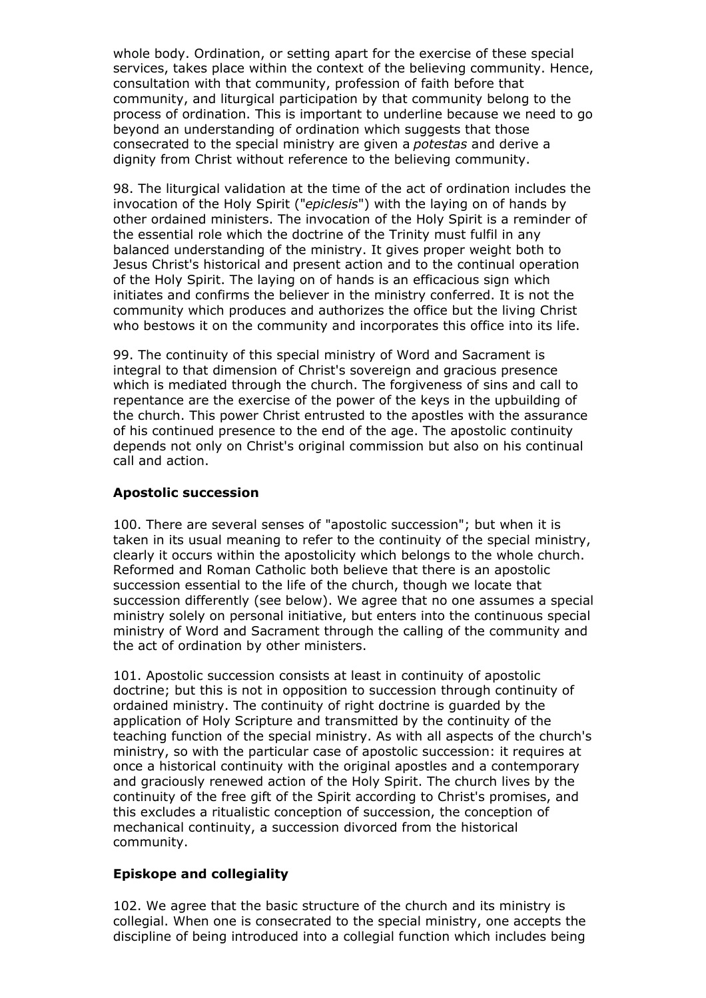whole body. Ordination, or setting apart for the exercise of these special services, takes place within the context of the believing community. Hence, consultation with that community, profession of faith before that community, and liturgical participation by that community belong to the process of ordination. This is important to underline because we need to go beyond an understanding of ordination which suggests that those consecrated to the special ministry are given a *potestas* and derive a dignity from Christ without reference to the believing community.

98. The liturgical validation at the time of the act of ordination includes the invocation of the Holy Spirit ("*epiclesis*") with the laying on of hands by other ordained ministers. The invocation of the Holy Spirit is a reminder of the essential role which the doctrine of the Trinity must fulfil in any balanced understanding of the ministry. It gives proper weight both to Jesus Christ's historical and present action and to the continual operation of the Holy Spirit. The laying on of hands is an efficacious sign which initiates and confirms the believer in the ministry conferred. It is not the community which produces and authorizes the office but the living Christ who bestows it on the community and incorporates this office into its life.

99. The continuity of this special ministry of Word and Sacrament is integral to that dimension of Christ's sovereign and gracious presence which is mediated through the church. The forgiveness of sins and call to repentance are the exercise of the power of the keys in the upbuilding of the church. This power Christ entrusted to the apostles with the assurance of his continued presence to the end of the age. The apostolic continuity depends not only on Christ's original commission but also on his continual call and action.

## **Apostolic succession**

100. There are several senses of "apostolic succession"; but when it is taken in its usual meaning to refer to the continuity of the special ministry, clearly it occurs within the apostolicity which belongs to the whole church. Reformed and Roman Catholic both believe that there is an apostolic succession essential to the life of the church, though we locate that succession differently (see below). We agree that no one assumes a special ministry solely on personal initiative, but enters into the continuous special ministry of Word and Sacrament through the calling of the community and the act of ordination by other ministers.

101. Apostolic succession consists at least in continuity of apostolic doctrine; but this is not in opposition to succession through continuity of ordained ministry. The continuity of right doctrine is guarded by the application of Holy Scripture and transmitted by the continuity of the teaching function of the special ministry. As with all aspects of the church's ministry, so with the particular case of apostolic succession: it requires at once a historical continuity with the original apostles and a contemporary and graciously renewed action of the Holy Spirit. The church lives by the continuity of the free gift of the Spirit according to Christ's promises, and this excludes a ritualistic conception of succession, the conception of mechanical continuity, a succession divorced from the historical community.

## **Episkope and collegiality**

102. We agree that the basic structure of the church and its ministry is collegial. When one is consecrated to the special ministry, one accepts the discipline of being introduced into a collegial function which includes being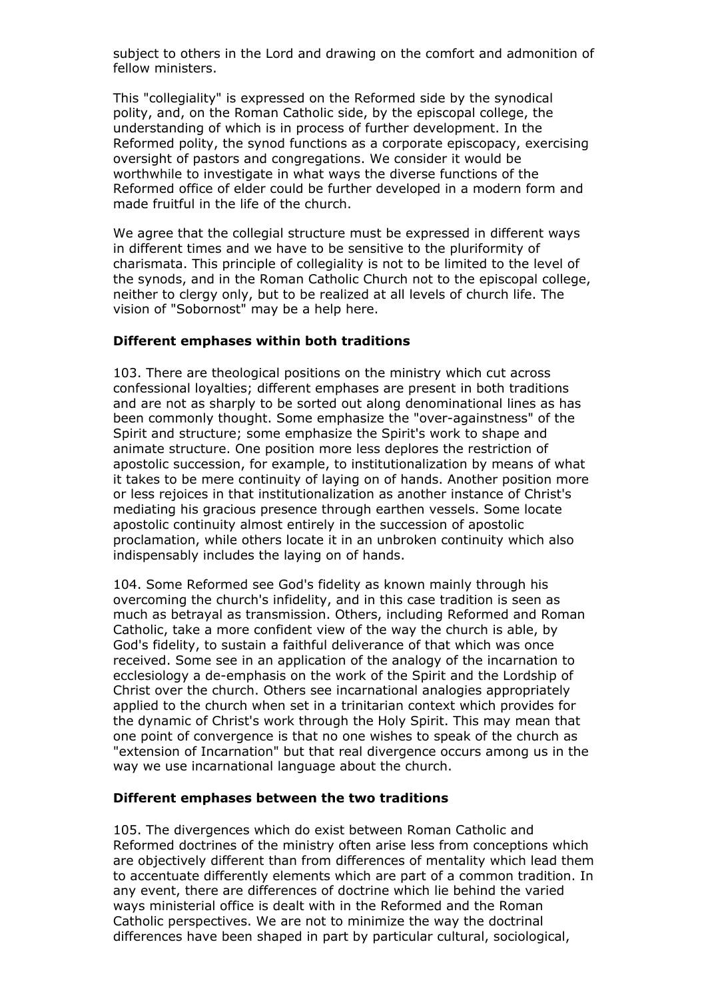subject to others in the Lord and drawing on the comfort and admonition of fellow ministers.

This "collegiality" is expressed on the Reformed side by the synodical polity, and, on the Roman Catholic side, by the episcopal college, the understanding of which is in process of further development. In the Reformed polity, the synod functions as a corporate episcopacy, exercising oversight of pastors and congregations. We consider it would be worthwhile to investigate in what ways the diverse functions of the Reformed office of elder could be further developed in a modern form and made fruitful in the life of the church.

We agree that the collegial structure must be expressed in different ways in different times and we have to be sensitive to the pluriformity of charismata. This principle of collegiality is not to be limited to the level of the synods, and in the Roman Catholic Church not to the episcopal college, neither to clergy only, but to be realized at all levels of church life. The vision of "Sobornost" may be a help here.

## **Different emphases within both traditions**

103. There are theological positions on the ministry which cut across confessional loyalties; different emphases are present in both traditions and are not as sharply to be sorted out along denominational lines as has been commonly thought. Some emphasize the "over-againstness" of the Spirit and structure; some emphasize the Spirit's work to shape and animate structure. One position more less deplores the restriction of apostolic succession, for example, to institutionalization by means of what it takes to be mere continuity of laying on of hands. Another position more or less rejoices in that institutionalization as another instance of Christ's mediating his gracious presence through earthen vessels. Some locate apostolic continuity almost entirely in the succession of apostolic proclamation, while others locate it in an unbroken continuity which also indispensably includes the laying on of hands.

104. Some Reformed see God's fidelity as known mainly through his overcoming the church's infidelity, and in this case tradition is seen as much as betrayal as transmission. Others, including Reformed and Roman Catholic, take a more confident view of the way the church is able, by God's fidelity, to sustain a faithful deliverance of that which was once received. Some see in an application of the analogy of the incarnation to ecclesiology a de-emphasis on the work of the Spirit and the Lordship of Christ over the church. Others see incarnational analogies appropriately applied to the church when set in a trinitarian context which provides for the dynamic of Christ's work through the Holy Spirit. This may mean that one point of convergence is that no one wishes to speak of the church as "extension of Incarnation" but that real divergence occurs among us in the way we use incarnational language about the church.

## **Different emphases between the two traditions**

105. The divergences which do exist between Roman Catholic and Reformed doctrines of the ministry often arise less from conceptions which are objectively different than from differences of mentality which lead them to accentuate differently elements which are part of a common tradition. In any event, there are differences of doctrine which lie behind the varied ways ministerial office is dealt with in the Reformed and the Roman Catholic perspectives. We are not to minimize the way the doctrinal differences have been shaped in part by particular cultural, sociological,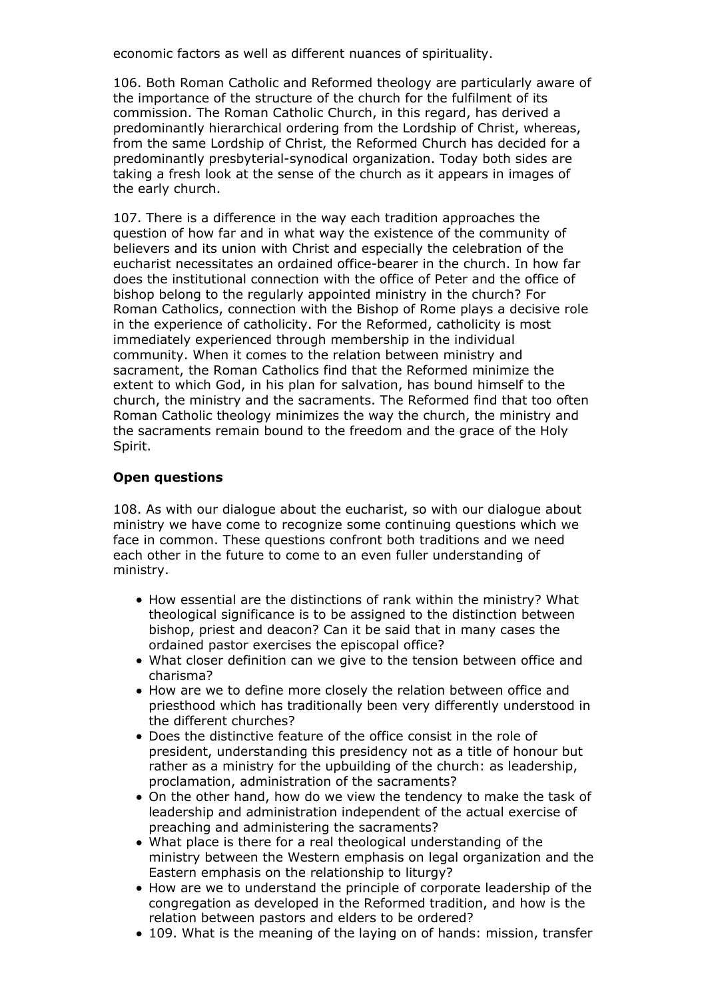economic factors as well as different nuances of spirituality.

106. Both Roman Catholic and Reformed theology are particularly aware of the importance of the structure of the church for the fulfilment of its commission. The Roman Catholic Church, in this regard, has derived a predominantly hierarchical ordering from the Lordship of Christ, whereas, from the same Lordship of Christ, the Reformed Church has decided for a predominantly presbyterial-synodical organization. Today both sides are taking a fresh look at the sense of the church as it appears in images of the early church.

107. There is a difference in the way each tradition approaches the question of how far and in what way the existence of the community of believers and its union with Christ and especially the celebration of the eucharist necessitates an ordained office-bearer in the church. In how far does the institutional connection with the office of Peter and the office of bishop belong to the regularly appointed ministry in the church? For Roman Catholics, connection with the Bishop of Rome plays a decisive role in the experience of catholicity. For the Reformed, catholicity is most immediately experienced through membership in the individual community. When it comes to the relation between ministry and sacrament, the Roman Catholics find that the Reformed minimize the extent to which God, in his plan for salvation, has bound himself to the church, the ministry and the sacraments. The Reformed find that too often Roman Catholic theology minimizes the way the church, the ministry and the sacraments remain bound to the freedom and the grace of the Holy Spirit.

## **Open questions**

108. As with our dialogue about the eucharist, so with our dialogue about ministry we have come to recognize some continuing questions which we face in common. These questions confront both traditions and we need each other in the future to come to an even fuller understanding of ministry.

- How essential are the distinctions of rank within the ministry? What theological significance is to be assigned to the distinction between bishop, priest and deacon? Can it be said that in many cases the ordained pastor exercises the episcopal office?
- What closer definition can we give to the tension between office and charisma?
- How are we to define more closely the relation between office and priesthood which has traditionally been very differently understood in the different churches?
- Does the distinctive feature of the office consist in the role of president, understanding this presidency not as a title of honour but rather as a ministry for the upbuilding of the church: as leadership, proclamation, administration of the sacraments?
- On the other hand, how do we view the tendency to make the task of leadership and administration independent of the actual exercise of preaching and administering the sacraments?
- What place is there for a real theological understanding of the ministry between the Western emphasis on legal organization and the Eastern emphasis on the relationship to liturgy?
- How are we to understand the principle of corporate leadership of the congregation as developed in the Reformed tradition, and how is the relation between pastors and elders to be ordered?
- 109. What is the meaning of the laying on of hands: mission, transfer